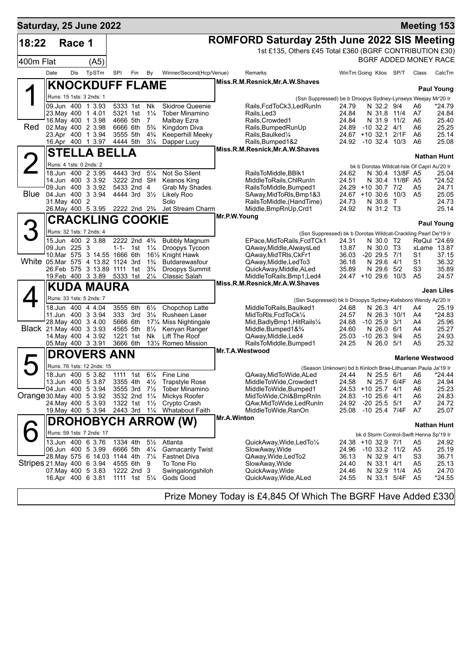| Saturday, 25 June 2022            |                         |            |                                                  |          |                                          |                                  |                                                                     |                                                                                          |                                                                       |                        |                                 |                   | <b>Meeting 153</b>                          |                    |
|-----------------------------------|-------------------------|------------|--------------------------------------------------|----------|------------------------------------------|----------------------------------|---------------------------------------------------------------------|------------------------------------------------------------------------------------------|-----------------------------------------------------------------------|------------------------|---------------------------------|-------------------|---------------------------------------------|--------------------|
| 18:22                             |                         | Race 1     |                                                  |          |                                          |                                  |                                                                     | <b>ROMFORD Saturday 25th June 2022 SIS Meeting</b>                                       |                                                                       |                        |                                 |                   |                                             |                    |
|                                   |                         |            |                                                  |          |                                          |                                  |                                                                     | 1st £135, Others £45 Total £360 (BGRF CONTRIBUTION £30)                                  |                                                                       |                        |                                 |                   |                                             |                    |
| 400m Flat                         |                         |            | (A5)                                             |          |                                          |                                  |                                                                     |                                                                                          |                                                                       |                        |                                 |                   | BGRF ADDED MONEY RACE                       |                    |
|                                   | Date                    | <b>Dis</b> | TpSTm                                            | SPI      | Fin                                      | By                               | Winner/Second(Hcp/Venue)                                            | Remarks                                                                                  |                                                                       | WinTm Going Kilos SP/T |                                 |                   | Class                                       | CalcTm             |
|                                   |                         |            |                                                  |          |                                          |                                  |                                                                     | Miss.R.M.Resnick, Mr.A.W.Shaves                                                          |                                                                       |                        |                                 |                   |                                             |                    |
|                                   |                         |            | <b>KNOCKDUFF FLAME</b>                           |          |                                          |                                  |                                                                     |                                                                                          |                                                                       |                        |                                 |                   |                                             | <b>Paul Young</b>  |
|                                   |                         |            | Runs: 15 1sts: 3 2nds: 1                         |          |                                          |                                  |                                                                     | (Ssn Suppressed) be b Droopys Sydney-Lynseys Weejay Mr'20 Ir                             |                                                                       |                        |                                 |                   |                                             |                    |
|                                   |                         |            | 09.Jun 400 1 3.93<br>23. May 400 1 4.01          |          | 5333 1st Nk                              |                                  | Skidroe Queenie                                                     | Rails, FcdToCk3, Led Run In                                                              | 24.79                                                                 |                        | N 32.2 9/4                      |                   | A6                                          | *24.79             |
|                                   |                         |            | 16 May 400 1 3.98                                |          | 5321 1st<br>4666 5th                     | $1\frac{1}{4}$<br>$\overline{7}$ | <b>Tober Minamino</b><br>Malbay Ezra                                | Rails, Led 3<br>Rails, Crowded1                                                          | 24.84<br>24.84                                                        |                        | N 31.9 11/2                     | N 31.8 11/4       | A7<br>A6                                    | 24.84<br>25.40     |
| Red                               |                         |            | 02. May 400 2 3.98                               |          | 6666 6th                                 | $5\frac{3}{4}$                   | Kingdom Diva                                                        | Rails, Bumped RunUp                                                                      | 24.89                                                                 | -10 32.2 4/1           |                                 |                   | A6                                          | 25.25              |
|                                   |                         |            | 23.Apr 400 1 3.94                                |          | 3555 5th                                 | $4\frac{3}{4}$                   | Keeperhill Meeky                                                    | Rails, Baulked <sup>1/4</sup>                                                            | 24.67 +10 32.1                                                        |                        |                                 | 2/1F              | A6                                          | 25.14              |
|                                   |                         |            | 16.Apr 400 1 3.97                                |          | 4444 5th                                 | $3\frac{1}{4}$                   | Dapper Lucy                                                         | Rails, Bumped 1&2<br>Miss.R.M.Resnick, Mr.A.W.Shaves                                     | 24.92 -10 32.4 10/3                                                   |                        |                                 |                   | A6                                          | 25.08              |
|                                   |                         |            | <b>STELLA BELLA</b>                              |          |                                          |                                  |                                                                     |                                                                                          |                                                                       |                        |                                 |                   |                                             | <b>Nathan Hunt</b> |
|                                   | Runs: 4 1sts: 0 2nds: 2 |            |                                                  |          |                                          |                                  |                                                                     |                                                                                          |                                                                       |                        |                                 |                   | bk b Dorotas Wildcat-Isle Of Capri Au'20 Ir |                    |
|                                   |                         |            | 18.Jun 400 2 3.95                                |          | 4443 3rd                                 | $5\frac{1}{4}$                   | Not So Silent                                                       | RailsToMiddle, BBlk1                                                                     | 24.62                                                                 |                        |                                 | N 30.4 13/8F A5   |                                             | 25.04              |
|                                   |                         |            | 14.Jun 400 3 3.92<br>09.Jun 400 3 3.92           |          | 3222 2nd SH<br>5433 2nd 4                |                                  | Keanos King                                                         | MiddleToRails, ChlRunIn                                                                  | 24.51                                                                 | 24.29 +10 30.7 7/2     |                                 | N 30.4 11/8F A5   |                                             | *24.52             |
| Blue                              |                         |            | 04.Jun 400 3 3.94                                |          | 4444 3rd 31/ <sub>2</sub>                |                                  | Grab My Shades<br>Likely Roo                                        | RailsToMiddle, Bumped1<br>SAway, MidToRIs, Bmp1&3                                        | 24.67 +10 30.6 10/3                                                   |                        |                                 |                   | A5<br>A <sub>5</sub>                        | 24.71<br>25.05     |
|                                   | 31. May 400 2           |            |                                                  |          |                                          |                                  | Solo                                                                | RailsToMiddle, (HandTime)                                                                | 24.73                                                                 |                        | N 30.8 T                        |                   |                                             | 24.73              |
|                                   |                         |            | 26. May 400 5 3.95                               |          | 2222 2nd 2 <sup>3</sup> / <sub>4</sub>   |                                  | Jet Stream Charm                                                    | Middle, BmpRnUp, Crd1                                                                    | 24.92                                                                 |                        | N 31.2 T3                       |                   |                                             | 25.14              |
|                                   |                         |            | <b>CRACKLING COOKIE</b>                          |          |                                          |                                  |                                                                     | Mr.P.W.Young                                                                             |                                                                       |                        |                                 |                   |                                             | <b>Paul Young</b>  |
| З                                 |                         |            | Runs: 32 1sts: 7 2nds: 4                         |          |                                          |                                  |                                                                     |                                                                                          | (Ssn Suppressed) bk b Dorotas Wildcat-Crackling Pearl De'19 Ir        |                        |                                 |                   |                                             |                    |
|                                   |                         |            | 15.Jun 400 2 3.88                                |          | 2222 2nd 4 <sup>3</sup> / <sub>4</sub>   |                                  | <b>Bubbly Magnum</b>                                                | EPace, MidToRails, FcdTCk1                                                               | 24.31                                                                 |                        | N 30.0 T2                       |                   |                                             | ReQul *24.69       |
|                                   | 09.Jun 225 3            |            |                                                  |          | 1-1- 1st $1\frac{1}{4}$                  |                                  | Droopys Tycoon                                                      | QAway, Middle, AlwaysLed                                                                 | 13.87                                                                 |                        | N 30.0 T3                       |                   |                                             | xLame 13.87        |
| White 05.Mar 575 4 13.82 1124 3rd |                         |            | 10. Mar 575 3 14.55 1666 6th                     |          |                                          | $1\frac{3}{4}$                   | 16 <sup>1</sup> / <sub>2</sub> Knight Hawk<br><b>Butdarewasfour</b> | QAway, MidTRIs, CkFr1<br>QAway, Middle, Led To 3                                         | 36.03<br>36.18                                                        |                        | $-20$ 29.5 $7/1$<br>N 29.6 4/1  |                   | S1<br>S1                                    | 37.15<br>36.32     |
|                                   |                         |            | 26.Feb 575 3 13.89 1111 1st                      |          |                                          | $3\frac{3}{4}$                   | Droopys Summit                                                      | QuickAway, Middle, ALed                                                                  | 35.89                                                                 |                        | N 29.6 5/2                      |                   | S3                                          | 35.89              |
|                                   |                         |            | 19. Feb 400 3 3.89                               | 5333 1st |                                          | $2\frac{1}{4}$                   | Classic Salah                                                       | MiddleToRails, Bmp1, Led4                                                                | 24.47 +10 29.6 10/3                                                   |                        |                                 |                   | A <sub>5</sub>                              | 24.57              |
|                                   |                         |            | <b>KUDA MAURA</b>                                |          |                                          |                                  |                                                                     | Miss.R.M.Resnick, Mr.A.W.Shaves                                                          |                                                                       |                        |                                 |                   |                                             | <b>Jean Liles</b>  |
|                                   |                         |            | Runs: 33 1sts: 5 2nds: 7                         |          |                                          |                                  |                                                                     |                                                                                          |                                                                       |                        |                                 |                   |                                             |                    |
|                                   |                         |            | 18.Jun 400 4 4.04                                |          | 3555 6th                                 | $6\frac{1}{2}$                   | Chopchop Latte                                                      | (Ssn Suppressed) bk b Droopys Sydney-Kellsboro Wendy Ap'20 Ir<br>MiddleToRails, Baulked1 | 24.68                                                                 |                        | N 26.3 4/1                      |                   | A4                                          | 25.19              |
|                                   |                         |            | 11.Jun 400 3 3.94                                | 333      | 3rd                                      | $3\frac{1}{4}$                   | <b>Rusheen Laser</b>                                                | MidToRIs, FcdToCk1/4                                                                     | 24.57                                                                 |                        | N 26.3 10/1                     |                   | A4                                          | $*24.83$           |
|                                   |                         |            | 28. May 400 3 4.00                               |          | 5666 6th                                 |                                  | 17% Miss Nightingale                                                | Mid, BadlyBmp1, HitRails 1/4                                                             | 24.68                                                                 |                        | $-10$ 25.9 $3/1$                |                   | A4                                          | 25.96              |
| Black 21. May 400 3 3.93          |                         |            | 14 May 400 4 3.92                                |          | 4565 5th<br>1221 1st                     | $8\frac{1}{2}$<br>Nk             | Kenyan Ranger<br>Lift The Roof                                      | Middle, Bumped 1& 3/4<br>QAway, Middle, Led4                                             | 24.60<br>25.03                                                        |                        | N 26.0 6/1<br>$-10$ 26.3 $9/4$  |                   | A4<br>A5                                    | 25.27<br>24.93     |
|                                   |                         |            | 05. May 400 3 3.91                               |          | 3666 6th                                 |                                  | 131/2 Romeo Mission                                                 | RailsToMiddle, Bumped1                                                                   | 24.25                                                                 |                        | N 26.0 5/1                      |                   | A5                                          | 25.32              |
|                                   |                         |            | <b>DROVERS ANN</b>                               |          |                                          |                                  |                                                                     | Mr.T.A.Westwood                                                                          |                                                                       |                        |                                 |                   |                                             |                    |
|                                   |                         |            |                                                  |          |                                          |                                  |                                                                     |                                                                                          |                                                                       |                        |                                 |                   | <b>Marlene Westwood</b>                     |                    |
|                                   |                         |            | Runs: 76 1sts: 12 2nds: 15<br>18.Jun 400 5 3.82  |          | 1111 1st                                 | $6\frac{1}{4}$                   | Fine Line                                                           | QAway, MidToWide, ALed                                                                   | (Season Unknown) bd b Kinloch Brae-Lithuanian Paula Ja'19 Ir<br>24.44 |                        |                                 | N 25.5 6/1 A6     |                                             | $*24.44$           |
|                                   |                         |            | 13.Jun 400 5 3.87                                |          | 3355 4th                                 | $4\frac{1}{2}$                   | Trapstyle Rose                                                      | MiddleToWide,Crowded1                                                                    | 24.58                                                                 |                        | N 25.7                          | 6/4F              | A6                                          | 24.94              |
|                                   |                         |            | 04.Jun 400 5 3.94                                |          | 3555 3rd                                 | $7\frac{1}{2}$                   | <b>Tober Minamino</b>                                               | MiddleToWide,Bumped1                                                                     |                                                                       | 24.53 +10 25.7         |                                 | 4/1               | A6                                          | 25.23              |
| Orange 30 May 400 5 3.92          |                         |            |                                                  |          | 3532 2nd 11/4                            |                                  | Mickys Roofer                                                       | MidToWide, Chl&BmpRnIn                                                                   | 24.83                                                                 |                        | $-10$ 25.6 $4/1$                |                   | A6                                          | 24.83              |
|                                   |                         |            | 24 May 400 5 3.93<br>19 May 400 5 3.94           |          | 1322 1st $1\frac{1}{2}$<br>2443 3rd 11/4 |                                  | Crypto Crash<br>Whatabout Faith                                     | QAw,MidToWide,LedRunIn<br>MiddleToWide,RanOn                                             | 24.92<br>25.08                                                        |                        | $-20$ 25.5 $5/1$                | $-10$ 25.4 $7/4F$ | A7<br>A7                                    | 24.72<br>25.07     |
|                                   |                         |            |                                                  |          |                                          |                                  |                                                                     | Mr.A.Winton                                                                              |                                                                       |                        |                                 |                   |                                             |                    |
|                                   |                         |            |                                                  |          |                                          |                                  | <b>DROHOBYCH ARROW (W)</b>                                          |                                                                                          |                                                                       |                        |                                 |                   |                                             | <b>Nathan Hunt</b> |
|                                   |                         |            | Runs: 59 1sts: 7 2nds: 17                        |          |                                          |                                  |                                                                     |                                                                                          |                                                                       |                        |                                 |                   | bk d Storm Control-Swift Henna Sp'19 Ir     |                    |
|                                   |                         |            | 13.Jun 400 6 3.76                                |          | 1334 4th                                 | $5\frac{1}{2}$                   | Atlanta                                                             | QuickAway, Wide, LedTo 1/4                                                               |                                                                       | 24.38 +10 32.9 7/1     |                                 |                   | A5                                          | 24.92              |
|                                   |                         |            | 06.Jun 400 5 3.99<br>28.May 575 6 14.03 1144 4th |          | 6666 5th                                 | $4\frac{1}{4}$<br>$7\frac{1}{4}$ | <b>Garnacanty Twist</b><br><b>Fastnet Diva</b>                      | SlowAway, Wide<br>QAway, Wide, Led To2                                                   | 24.96<br>36.13                                                        |                        | $-10$ 33.2 $11/2$<br>N 32.9 4/1 |                   | A5<br>S3                                    | 25.19<br>36.71     |
| Stripes 21 May 400 6 3 94         |                         |            |                                                  |          | 4555 6th                                 | 9                                | To Tone Flo                                                         | SlowAway, Wide                                                                           | 24.40                                                                 |                        | N 33.1 4/1                      |                   | A5                                          | 25.13              |
|                                   |                         |            | 07. May 400 5 3.83                               |          | 1222 2nd 3                               |                                  | Swingalongshiloh                                                    | QuickAway, Wide                                                                          | 24.46                                                                 |                        | N 32.9 11/4                     |                   | A5                                          | 24.70              |
|                                   |                         |            | 16.Apr 400 6 3.81                                |          | 1111 1st 5 <sup>1</sup> / <sub>4</sub>   |                                  | Gods Good                                                           | QuickAway, Wide, ALed                                                                    | 24.55                                                                 |                        |                                 | N 33.1 5/4F       | A5                                          | *24.55             |
|                                   |                         |            |                                                  |          |                                          |                                  |                                                                     |                                                                                          |                                                                       |                        |                                 |                   |                                             |                    |

Prize Money Today is £4,845 Of Which The BGRF Have Added £330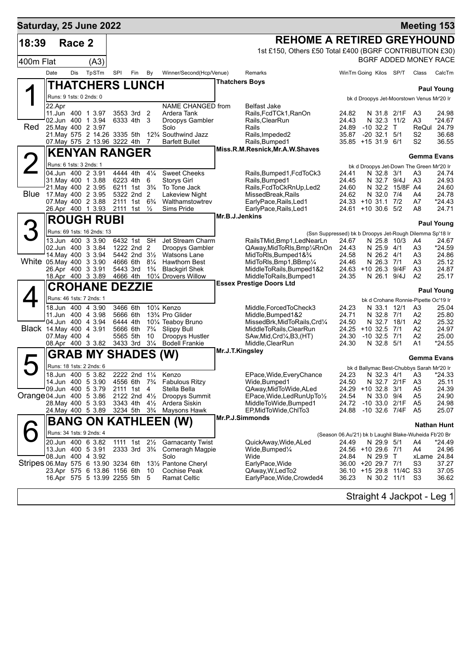| Saturday, 25 June 2022               |                         |        |                                                                 |                      |                                                    |                                 |                                                                        |                       |                                                                                      |                                                       |                                |                         |                                                         | <b>Meeting 153</b>    |
|--------------------------------------|-------------------------|--------|-----------------------------------------------------------------|----------------------|----------------------------------------------------|---------------------------------|------------------------------------------------------------------------|-----------------------|--------------------------------------------------------------------------------------|-------------------------------------------------------|--------------------------------|-------------------------|---------------------------------------------------------|-----------------------|
| 18:39                                |                         | Race 2 |                                                                 |                      |                                                    |                                 |                                                                        |                       | <b>REHOME A RETIRED GREYHOUND</b>                                                    |                                                       |                                |                         |                                                         |                       |
|                                      |                         |        |                                                                 |                      |                                                    |                                 |                                                                        |                       | 1st £150, Others £50 Total £400 (BGRF CONTRIBUTION £30)                              |                                                       |                                |                         |                                                         |                       |
| 400m Flat                            |                         |        | (A3)                                                            |                      |                                                    |                                 |                                                                        |                       |                                                                                      |                                                       |                                |                         |                                                         | BGRF ADDED MONEY RACE |
|                                      | Date                    | Dis    | TpSTm                                                           | SPI                  | Fin                                                | By                              | Winner/Second(Hcp/Venue)                                               |                       | Remarks                                                                              | WinTm Going Kilos SP/T                                |                                |                         | Class                                                   | CalcTm                |
|                                      |                         |        | <b>THATCHERS LUNCH</b>                                          |                      |                                                    |                                 |                                                                        | <b>Thatchers Boys</b> |                                                                                      |                                                       |                                |                         |                                                         | <b>Paul Young</b>     |
|                                      | Runs: 9 1sts: 0 2nds: 0 |        |                                                                 |                      |                                                    |                                 |                                                                        |                       |                                                                                      |                                                       |                                |                         | bk d Droopys Jet-Moorstown Venus Mr'20 Ir               |                       |
|                                      | 22.Apr                  |        |                                                                 |                      |                                                    |                                 | NAME CHANGED from                                                      |                       | Belfast Jake                                                                         |                                                       |                                |                         |                                                         |                       |
|                                      |                         |        | 11. Jun 400 1 3.97<br>02.Jun 400 1 3.94                         |                      | 3553 3rd<br>6333 4th                               | 2<br>3                          | Ardera Tank<br>Droopys Gambler                                         |                       | Rails, FcdTCk1, RanOn<br>Rails, ClearRun                                             | 24.82<br>24.43                                        | N 32.3 11/2                    | N 31.8 2/1F             | A3<br>A3                                                | 24.98<br>*24.67       |
| Red.                                 | 25. May 400 2 3.97      |        |                                                                 |                      |                                                    |                                 | Solo                                                                   |                       | Rails                                                                                | 24.89                                                 | $-10$ 32.2 T                   |                         | ReQul 24.79                                             |                       |
|                                      |                         |        | 21. May 575 2 14. 26 3335 5th<br>07. May 575 2 13.96 3222 4th 7 |                      |                                                    |                                 | 12 <sup>3</sup> / <sub>4</sub> Southwind Jazz<br><b>Barfett Bullet</b> |                       | Rails, Impeded2<br>Rails, Bumped1                                                    | 35.87<br>35.85 +15 31.9 6/1                           | $-20$ 32.1 $5/1$               |                         | S <sub>2</sub><br>S <sub>2</sub>                        | 36.68<br>36.55        |
|                                      |                         |        | <b>KENYAN RANGER</b>                                            |                      |                                                    |                                 |                                                                        |                       | Miss.R.M.Resnick, Mr.A.W.Shaves                                                      |                                                       |                                |                         |                                                         |                       |
| $\overline{2}$                       | Runs: 6 1sts: 3 2nds: 1 |        |                                                                 |                      |                                                    |                                 |                                                                        |                       |                                                                                      |                                                       |                                |                         | Gemma Evans<br>bk d Droopys Jet-Down The Green Mr'20 Ir |                       |
|                                      |                         |        | 04.Jun 400 2 3.91                                               | 4444 4th             |                                                    | $4\frac{1}{4}$                  | <b>Sweet Cheeks</b>                                                    |                       | Rails, Bumped 1, Fcd To Ck3                                                          | 24.41                                                 | N 32.8 3/1                     |                         | A3                                                      | 24.74                 |
|                                      |                         |        | 31. May 400 1 3.88<br>21. May 400 2 3.95                        |                      | 6223 4th<br>6211 1st 3 <sup>3</sup> / <sub>4</sub> | 6                               | <b>Storys Girl</b><br>To Tone Jack                                     |                       | Rails, Bumped1<br>Rails, FcdToCkRnUp, Led2                                           | 24.45<br>24.60                                        | N 32.7 9/4J                    | N 32.2 15/8F A4         | A <sub>3</sub>                                          | 24.93<br>24.60        |
| Blue                                 | 17. May 400 2 3.95      |        |                                                                 |                      | 5322 2nd 2                                         |                                 | <b>Lakeview Night</b>                                                  |                       | MissedBreak, Rails                                                                   | 24.62                                                 | N 32.0 7/4                     |                         | A4                                                      | 24.78                 |
|                                      |                         |        | 07 May 400 2 3.88<br>26.Apr 400 1 3.93                          | 2111 1st             | 2111 1st                                           | $6\frac{3}{4}$<br>$\frac{1}{2}$ | Walthamstowtrev<br>Sims Pride                                          |                       | EarlyPace, Rails, Led1<br>EarlyPace, Rails, Led1                                     | 24.33 +10 31.1 7/2<br>24.61 +10 30.6 5/2              |                                |                         | A7<br>A8                                                | *24.43<br>24.71       |
|                                      |                         |        | <b>ROUGH RUBI</b>                                               |                      |                                                    |                                 |                                                                        | Mr.B.J.Jenkins        |                                                                                      |                                                       |                                |                         |                                                         |                       |
| 3                                    |                         |        | Runs: 69 1sts: 16 2nds: 13                                      |                      |                                                    |                                 |                                                                        |                       |                                                                                      |                                                       |                                |                         |                                                         | <b>Paul Young</b>     |
|                                      |                         |        | 13.Jun 400 3 3.90                                               |                      | 6432 1st SH                                        |                                 | Jet Stream Charm                                                       |                       | (Ssn Suppressed) bk b Droopys Jet-Rough Dilemma Sp'18 Ir<br>RailsTMid,Bmp1,LedNearLn | 24.67                                                 | N 25.8 10/3                    |                         | A4                                                      | 24.67                 |
|                                      |                         |        | 02.Jun 400 3 3.84                                               |                      | 1222 2nd 2                                         |                                 | Droopys Gambler                                                        |                       | QAway, Mid To RIs, Bmp 1/4RnOn                                                       | 24.43                                                 | N 25.9 4/1                     |                         | A3                                                      | *24.59                |
| White 05.May 400 3 3.90              |                         |        | 14. May 400 3 3.94                                              |                      | 5442 2nd $3\frac{1}{2}$<br>4666 6th                | $8\frac{1}{4}$                  | <b>Watsons Lane</b><br><b>Hawthorn Best</b>                            |                       | MidToRIs, Bumped 1& 3/4<br>MidToRIs, Bmp1, BBmp1/4                                   | 24.58<br>24.46                                        | N 26.2 4/1<br>N 26.3 7/1       |                         | A3<br>A3                                                | 24.86<br>25.12        |
|                                      | 26.Apr 400 3 3.91       |        |                                                                 | 4666 4th             | 5443 3rd                                           | $1\frac{3}{4}$                  | <b>Blackgirl Shek</b><br>10¼ Drovers Willow                            |                       | MiddleToRails, Bumped1&2<br>MiddleToRails, Bumped1                                   | 24.63 +10 26.3 9/4F<br>24.35                          | N 26.1 9/4J                    |                         | A3<br>A <sub>2</sub>                                    | 24.87<br>25.17        |
|                                      |                         |        | 18.Apr 400 3 3.89<br><b>CROHANE DEZZIE</b>                      |                      |                                                    |                                 |                                                                        |                       | <b>Essex Prestige Doors Ltd</b>                                                      |                                                       |                                |                         |                                                         |                       |
|                                      |                         |        | Runs: 46 1sts: 7 2nds: 1                                        |                      |                                                    |                                 |                                                                        |                       |                                                                                      |                                                       |                                |                         |                                                         | <b>Paul Young</b>     |
|                                      |                         |        | 18.Jun 400 4 3.90                                               | 3466 6th             |                                                    |                                 | 101/4 Kenzo                                                            |                       | Middle, Forced To Check3                                                             | 24.23                                                 | N 33.1 12/1                    |                         | bk d Crohane Ronnie-Pipette Oc'19 Ir<br>A3              | 25.04                 |
|                                      |                         |        | 11.Jun 400 4 3.98                                               | 5666 6th             |                                                    |                                 | 13% Pro Glider                                                         |                       | Middle, Bumped 1&2                                                                   | 24.71                                                 | N 32.8 7/1                     |                         | A2                                                      | 25.80                 |
| Black 14. May 400 4 3.91             |                         |        | 04.Jun 400 4 3.94                                               | 6444 4th<br>5666 6th |                                                    | $7\frac{3}{4}$                  | 10% Teaboy Bruno<br>Slippy Bull                                        |                       | MissedBrk, MidToRails, Crd1/4<br>MiddleToRails, ClearRun                             | 24.50<br>$24.25 + 10.32.5$                            | N 32.7 18/1                    | 7/1                     | A2<br>A <sub>2</sub>                                    | 25.32<br>24.97        |
|                                      | 07. May 400 4           |        |                                                                 | 3433 3rd             | 5565 5th                                           | 10<br>$3\frac{1}{4}$            | Droopys Hustler                                                        |                       | SAw, Mid, Crd <sup>1</sup> / <sub>4</sub> , B3, (HT)                                 | 24.30                                                 | $-10$ 32.5 $7/1$<br>N 32.8 5/1 |                         | A2                                                      | 25.00                 |
|                                      |                         |        | 08.Apr 400 3 3.82                                               |                      |                                                    |                                 | <b>Bodell Frankie</b>                                                  | Mr.J.T.Kingsley       | Middle, ClearRun                                                                     | 24.30                                                 |                                |                         | A1                                                      | *24.55                |
|                                      |                         |        | <b>GRAB MY SHADES</b>                                           |                      |                                                    |                                 | (W)                                                                    |                       |                                                                                      |                                                       |                                |                         | Gemma Evans                                             |                       |
|                                      |                         |        | Runs: 18 1sts: 2 2nds: 6<br>18.Jun 400 5 3.82                   |                      | $2222$ 2nd $1\frac{1}{4}$                          |                                 | Kenzo                                                                  |                       | EPace, Wide, Every Chance                                                            | 24.23                                                 |                                | N 32.3 4/1 A3           | bk d Ballymac Best-Chubbys Sarah Mr'20 Ir               | *24.33                |
|                                      |                         |        | 14.Jun 400 5 3.90                                               |                      |                                                    |                                 | 4556 6th 7 <sup>3</sup> / <sub>4</sub> Fabulous Ritzy                  |                       | Wide, Bumped1                                                                        | 24.50                                                 | N 32.7 2/1F                    |                         | A3                                                      | 25.11                 |
| Orange 04. Jun 400 5 3.86            |                         |        | 09.Jun 400 5 3.79                                               |                      | 2111 1st 4<br>2122 2nd $4\frac{1}{2}$              |                                 | Stella Bella<br>Droopys Summit                                         |                       | QAway, MidToWide, ALed<br>EPace, Wide, Led Run Up To 1/2                             | 24.29 +10 32.8<br>24.54                               | N 33.0 9/4                     | 3/1                     | A5<br>A5                                                | 24.39<br>24.90        |
|                                      |                         |        | 28. May 400 5 3.93                                              |                      | 3343 4th $4\frac{1}{2}$                            |                                 | Ardera Siskin                                                          |                       | MiddleToWide, Bumped1                                                                | 24.72 -10 33.0 2/1F                                   |                                |                         | A5                                                      | 24.98                 |
|                                      |                         |        | 24. May 400 5 3.89                                              |                      | 3234 5th 3 <sup>3</sup> / <sub>4</sub>             |                                 | Maysons Hawk                                                           |                       | EP, MidToWide, ChITo3<br>Mr.P.J.Simmonds                                             | 24.88                                                 | -10 32.6 7/4F                  |                         | A5                                                      | 25.07                 |
|                                      |                         |        |                                                                 |                      |                                                    |                                 | <b>BANG ON KATHLEEN (W)</b>                                            |                       |                                                                                      |                                                       |                                |                         |                                                         | <b>Nathan Hunt</b>    |
|                                      |                         |        | Runs: 34 1sts: 9 2nds: 4                                        |                      |                                                    |                                 |                                                                        |                       |                                                                                      | (Season 06.Au'21) bk b Laughil Blake-Wuheida Fb'20 Br |                                |                         |                                                         |                       |
|                                      |                         |        | 20.Jun 400 6 3.82<br>13.Jun 400 5 3.91                          |                      | 1111 1st 21/ <sub>2</sub><br>2333 3rd              | $3\frac{3}{4}$                  | <b>Garnacanty Twist</b><br>Comeragh Magpie                             |                       | QuickAway, Wide, ALed<br>Wide, Bumped <sup>1</sup> / <sub>4</sub>                    | 24.49<br>24.56 +10 29.6 7/1                           | N 29.9 5/1                     |                         | A4<br>A4                                                | *24.49<br>24.96       |
| Stripes 06. May 575 6 13.90 3234 6th |                         |        | 08.Jun 400 4 3.92                                               |                      |                                                    |                                 | Solo                                                                   |                       | Wide                                                                                 | 24.84                                                 | N 29.9 T                       |                         |                                                         | xLame 24.84           |
|                                      |                         |        | 23.Apr 575 6 13.86 1156 6th                                     |                      |                                                    | 10                              | 131/2 Pantone Cheryl<br><b>Cochise Peak</b>                            |                       | EarlyPace, Wide<br>QAway, W, Led To 2                                                | 36.00 +20 29.7 7/1                                    |                                | 36.10 +15 29.8 11/4C S3 | S3                                                      | 37.27<br>37.05        |
|                                      |                         |        | 16.Apr 575 5 13.99 2255 5th 5                                   |                      |                                                    |                                 | Ramat Celtic                                                           |                       | EarlyPace, Wide, Crowded4                                                            | 36.23                                                 | N 30.2 11/1                    |                         | S3                                                      | 36.62                 |
|                                      |                         |        |                                                                 |                      |                                                    |                                 |                                                                        |                       |                                                                                      |                                                       |                                |                         | Straight 4 Jackpot - Leg 1                              |                       |
|                                      |                         |        |                                                                 |                      |                                                    |                                 |                                                                        |                       |                                                                                      |                                                       |                                |                         |                                                         |                       |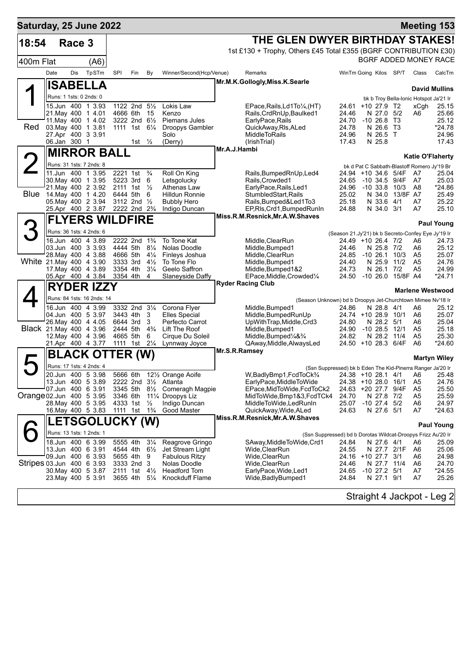| Saturday, 25 June 2022    |                         |        |                                               |                      |                                                                  |                                  |                                                                      |                                                                                                           |                                                                          |                                 |                         |                      | <b>Meeting 153</b>                                             |
|---------------------------|-------------------------|--------|-----------------------------------------------|----------------------|------------------------------------------------------------------|----------------------------------|----------------------------------------------------------------------|-----------------------------------------------------------------------------------------------------------|--------------------------------------------------------------------------|---------------------------------|-------------------------|----------------------|----------------------------------------------------------------|
| 18:54                     |                         | Race 3 |                                               |                      |                                                                  |                                  |                                                                      | THE GLEN DWYER BIRTHDAY STAKES!                                                                           |                                                                          |                                 |                         |                      |                                                                |
|                           |                         |        |                                               |                      |                                                                  |                                  |                                                                      | 1st £130 + Trophy, Others £45 Total £355 (BGRF CONTRIBUTION £30)                                          |                                                                          |                                 |                         |                      |                                                                |
| 400m Flat                 |                         |        | (A6)                                          |                      |                                                                  |                                  |                                                                      |                                                                                                           |                                                                          |                                 |                         |                      | BGRF ADDED MONEY RACE                                          |
|                           | Date                    | Dis    | TpSTm                                         | SPI                  | Fin                                                              | By                               | Winner/Second(Hcp/Venue)                                             | Remarks                                                                                                   | WinTm Going Kilos SP/T                                                   |                                 |                         | Class                | CalcTm                                                         |
|                           |                         |        | <b>ISABELLA</b>                               |                      |                                                                  |                                  |                                                                      | Mr.M.K.Gollogly, Miss.K.Searle                                                                            |                                                                          |                                 |                         |                      |                                                                |
|                           | Runs: 1 1sts: 0 2nds: 0 |        |                                               |                      |                                                                  |                                  |                                                                      |                                                                                                           |                                                                          |                                 |                         |                      | <b>David Mullins</b><br>bk b Troy Bella-Ionic Hotspot Ja'21 Ir |
|                           |                         |        | 15.Jun 400 1 3.93                             |                      | 1122 2nd 51/2                                                    |                                  | Lokis Law                                                            | EPace, Rails, Ld1To 1/4, (HT)                                                                             | 24.61 +10 27.9 T2                                                        |                                 |                         | xCgh                 | 25.15                                                          |
|                           | 21. May 400 1 4.01      |        | 11. May 400 1 4.02                            | 4666 6th             | 3222 2nd 61/2                                                    | 15                               | Kenzo<br>Piemans Jules                                               | Rails, CrdRnUp, Baulked1                                                                                  | 24.46                                                                    | N 27.0 5/2                      |                         | A6                   | 25.66<br>25.12                                                 |
| <b>Red</b>                | 03. May 400 1 3.81      |        |                                               |                      | 1111 1st 61/ <sub>4</sub>                                        |                                  | Droopys Gambler                                                      | EarlyPace, Rails<br>QuickAway, RIs, ALed                                                                  | 24.70<br>24.78                                                           | $-1026.8$<br>N 26.6 T3          | Т3                      |                      | *24.78                                                         |
|                           | 27.Apr 400 3 3.91       |        |                                               |                      |                                                                  |                                  | Solo                                                                 | <b>MiddleToRails</b>                                                                                      | 24.96                                                                    | N 26.5 T                        |                         |                      | 24.96                                                          |
|                           | 06.Jan 300 1            |        |                                               |                      | 1st $\frac{1}{2}$                                                |                                  | (Derry)                                                              | (IrishTrial)<br>Mr.A.J.Hambi                                                                              | 17.43                                                                    | N 25.8                          |                         |                      | 17.43                                                          |
|                           |                         |        | <b>MIRROR BALL</b>                            |                      |                                                                  |                                  |                                                                      |                                                                                                           |                                                                          |                                 |                         |                      | <b>Katie O'Flaherty</b>                                        |
| $\overline{2}$            |                         |        | Runs: 31 1sts: 7 2nds: 8                      |                      |                                                                  |                                  |                                                                      |                                                                                                           |                                                                          |                                 |                         |                      | bk d Pat C Sabbath-Blastoff Romero Jy'19 Br                    |
|                           |                         |        | 11.Jun 400 1 3.95<br>30. May 400 1 3.95       | 2221 1st             | 5223 3rd                                                         | $\frac{3}{4}$<br>- 6             | Roll On King<br>Letsgolucky                                          | Rails, Bumped RnUp, Led4<br>Rails, Crowded1                                                               | 24.94 +10 34.6 5/4F<br>24.65                                             |                                 | -10 34.5 9/4F           | A7<br>A7             | 25.04<br>25.03                                                 |
|                           |                         |        | 21. May 400 2 3.92                            |                      | 2111 1st $\frac{1}{2}$                                           |                                  | Athenas Law                                                          | EarlyPace, Rails, Led1                                                                                    | 24.96                                                                    |                                 | $-10$ 33.8 $10/3$       | A8                   | *24.86                                                         |
| <b>Blue</b>               |                         |        | 14. May 400 1 4.20                            | 6444 5th             |                                                                  | 6                                | Hilldun Ronnie                                                       | StumbledStart, Rails                                                                                      | 25.02                                                                    |                                 | N 34.0 13/8F A7         |                      | 25.49                                                          |
|                           |                         |        | 05. May 400 2 3.94<br>25.Apr 400 2 3.87       |                      | 3112 2nd $\frac{1}{2}$<br>2222 2nd 2 <sup>3</sup> / <sub>4</sub> |                                  | <b>Bubbly Hero</b><br>Indigo Duncan                                  | Rails, Bumped&Led1To3<br>EP, RIs, Crd1, Bumped RunIn                                                      | 25.18<br>24.88                                                           | N 33.6<br>N 34.0 3/1            | 4/1                     | A7<br>A7             | 25.22<br>25.10                                                 |
|                           |                         |        | <b>FLYERS WILDFIRE</b>                        |                      |                                                                  |                                  |                                                                      | Miss.R.M.Resnick, Mr.A.W.Shaves                                                                           |                                                                          |                                 |                         |                      |                                                                |
| З                         |                         |        |                                               |                      |                                                                  |                                  |                                                                      |                                                                                                           |                                                                          |                                 |                         |                      | <b>Paul Young</b>                                              |
|                           |                         |        | Runs: 36 1sts: 4 2nds: 6                      |                      | 2222 2nd 1 <sup>3</sup> / <sub>4</sub>                           |                                  | To Tone Kat                                                          |                                                                                                           | (Season 21.Jy'21) bk b Secreto-Confey Eye Jy'19 Ir<br>24.49 +10 26.4 7/2 |                                 |                         |                      | 24.73                                                          |
|                           |                         |        | 16.Jun 400 4 3.89<br>03.Jun 400 3 3.93        |                      | 4444 5th 81/4                                                    |                                  | Nolas Doodle                                                         | Middle, ClearRun<br>Middle, Bumped1                                                                       | 24.46                                                                    | N 25.8 7/2                      |                         | A6<br>A6             | 25.12                                                          |
|                           |                         |        | 28. May 400 4 3.88                            | 4666 5th             |                                                                  | $4\frac{1}{4}$                   | Finleys Joshua                                                       | Middle, ClearRun                                                                                          | 24.85                                                                    |                                 | -10 26.1 10/3           | A5                   | 25.07                                                          |
| White 21.May 400 4 3.90   | 17 May 400 4 3.89       |        |                                               | 3333 3rd<br>3354 4th |                                                                  | $4\frac{1}{2}$<br>$3\frac{1}{4}$ | To Tone Flo<br>Geelo Saffron                                         | Middle, Bumped1<br>Middle, Bumped 1&2                                                                     | 24.40<br>24.73                                                           | N 25.9<br>N 26.1 7/2            | 11/2                    | A <sub>5</sub><br>A5 | 24.76<br>24.99                                                 |
|                           |                         |        | 05.Apr 400 4 3.84                             | 3354 4th             |                                                                  | $\overline{4}$                   | <b>Slaneyside Daffy</b>                                              | EPace, Middle, Crowded <sup>1/4</sup>                                                                     |                                                                          |                                 | 24.50 -10 26.0 15/8F A4 |                      | *24.71                                                         |
|                           |                         |        | <b>RYDER IZZY</b>                             |                      |                                                                  |                                  |                                                                      | <b>Ryder Racing Club</b>                                                                                  |                                                                          |                                 |                         |                      | <b>Marlene Westwood</b>                                        |
|                           |                         |        | Runs: 84 1sts: 16 2nds: 14                    |                      |                                                                  |                                  |                                                                      | (Season Unknown) bd b Droopys Jet-Churchtown Mimee Nv'18 Ir                                               |                                                                          |                                 |                         |                      |                                                                |
|                           |                         |        | 16.Jun 400 4 3.99                             |                      | 3332 2nd 31/4                                                    |                                  | Corona Flyer                                                         | Middle, Bumped1                                                                                           | 24.86                                                                    | N 28.8 4/1                      |                         | A6                   | 25.12                                                          |
|                           | 04.Jun 400 5 3.97       |        |                                               |                      | 3443 4th                                                         | 3                                | <b>Elles Special</b>                                                 | Middle, Bumped Run Up                                                                                     | 24.74 +10 28.9 10/1                                                      |                                 |                         | A6                   | 25.07                                                          |
| Black 21. May 400 4 3.96  |                         |        | 26. May 400 4 4.05                            | 6644 3rd<br>2444 5th |                                                                  | 3<br>$4\frac{3}{4}$              | Perfecto Carrot<br>Lift The Roof                                     | UpWithTrap, Middle, Crd3<br>Middle, Bumped1                                                               | 24.80<br>24.90                                                           | N 28.2 5/1<br>$-1028.5$         | 12/1                    | A6<br>A5             | 25.04<br>25.18                                                 |
|                           |                         |        | 12. May 400 4 3.96                            |                      | 4665 5th 6                                                       |                                  | Cirque Du Soleil                                                     | Middle, Bumped <sup>1</sup> / <sub>4</sub> & <sup>3</sup> / <sub>4</sub>                                  | 24.82                                                                    |                                 | N 28.2 11/4             | A <sub>5</sub>       | 25.30                                                          |
|                           |                         |        | 21.Apr 400 4 3.77                             |                      | 1111 1st 21/ <sub>4</sub>                                        |                                  | Lynnway Joyce                                                        | QAway, Middle, AlwaysLed<br>Mr.S.R.Ramsey                                                                 | 24.50 +10 28.3 6/4F                                                      |                                 |                         | A6                   | *24.60                                                         |
|                           |                         |        | <b>BLACK OTTER (W)</b>                        |                      |                                                                  |                                  |                                                                      |                                                                                                           |                                                                          |                                 |                         |                      | <b>Martyn Wiley</b>                                            |
|                           |                         |        | Runs: 17 1sts: 4 2nds: 4                      |                      |                                                                  |                                  |                                                                      | (Ssn Suppressed) bk b Eden The Kid-Pinerra Ranger Ja'20 Ir                                                |                                                                          |                                 |                         |                      |                                                                |
|                           |                         |        | 20.Jun 400 5 3.98<br>13.Jun 400 5 3.89        | 5666 6th             |                                                                  |                                  | 121/2 Orange Aoife<br>2222 2nd 3 <sup>1</sup> / <sub>2</sub> Atlanta | W, Badly Bmp1, FcdToCk <sup>3</sup> / <sub>4</sub> 24.38 +10 28.1 4/1 A6 25.48<br>EarlyPace, MiddleToWide | 24.38 +10 28.0 16/1                                                      |                                 |                         | A5                   | 24.76                                                          |
|                           | 07.Jun 400 6 3.91       |        |                                               |                      | 3345 5th 8½                                                      |                                  | Comeragh Magpie                                                      | EPace,MidToWide,FcdToCk2                                                                                  | 24.63 +20 27.7                                                           |                                 | 9/4F                    | A5                   | 25.50                                                          |
| Orange 02. Jun 400 5 3.95 |                         |        |                                               | 3346 6th             |                                                                  |                                  | 11% Droopys Liz                                                      | MidToWide,Bmp1&3,FcdTCk4                                                                                  | 24.70                                                                    | N 27.8                          | 7/2                     | A5                   | 25.59                                                          |
|                           | 28. May 400 5 3.95      |        | 16. May 400 5 3.83                            | 4333 1st             | 1111 1st                                                         | $\frac{1}{2}$<br>$1\frac{3}{4}$  | Indigo Duncan<br>Good Master                                         | MiddleToWide,LedRunIn<br>QuickAway, Wide, ALed                                                            | 25.07<br>24.63                                                           | $-10$ 27.4 $5/2$<br>N 27.6 5/1  |                         | A6<br>A7             | 24.97<br>$*24.63$                                              |
|                           |                         |        | <b>LETSGOLUCKY (W)</b>                        |                      |                                                                  |                                  |                                                                      | Miss.R.M.Resnick, Mr.A.W.Shaves                                                                           |                                                                          |                                 |                         |                      |                                                                |
|                           |                         |        |                                               |                      |                                                                  |                                  |                                                                      |                                                                                                           |                                                                          |                                 |                         |                      | <b>Paul Young</b>                                              |
|                           |                         |        | Runs: 13 1sts: 1 2nds: 1<br>18.Jun 400 6 3.99 | 5555 4th             |                                                                  | $3\frac{1}{4}$                   | Reagrove Gringo                                                      | (Ssn Suppressed) bd b Dorotas Wildcat-Droopys Frizz Au'20 Ir<br>SAway, Middle To Wide, Crd1               | 24.84                                                                    | N 27.6 4/1                      |                         | A6                   | 25.09                                                          |
|                           | 13.Jun 400 6 3.91       |        |                                               | 4544 4th             |                                                                  | $6\frac{1}{2}$                   | Jet Stream Light                                                     | Wide,ClearRun                                                                                             | 24.55                                                                    |                                 | N 27.7 2/1F             | A6                   | 25.06                                                          |
|                           |                         |        | 09.Jun 400 6 3.93                             |                      | 5655 4th                                                         | 9                                | Fabulous Ritzy                                                       | Wide,ClearRun                                                                                             | 24.16 +10 27.7                                                           |                                 | 3/1                     | A6                   | 24.98                                                          |
| Stripes 03.Jun 400 6 3.93 |                         |        | 30. May 400 5 3.87                            |                      | 3333 2nd 3<br>2111 1st $4\frac{1}{2}$                            |                                  | Nolas Doodle<br><b>Headford Tom</b>                                  | Wide,ClearRun<br>EarlyPace, Wide, Led1                                                                    | 24.46<br>24.65                                                           | N 27.7 11/4<br>$-10$ 27.2 $5/1$ |                         | A6<br>A7             | 24.70<br>*24.55                                                |
|                           | 23. May 400 5 3.91      |        |                                               |                      | 3655 4th                                                         | $5\frac{1}{4}$                   | Knockduff Flame                                                      | Wide, Badly Bumped 1                                                                                      | 24.84                                                                    | N 27.1 9/1                      |                         | A7                   | 25.26                                                          |
|                           |                         |        |                                               |                      |                                                                  |                                  |                                                                      |                                                                                                           |                                                                          |                                 |                         |                      |                                                                |
|                           |                         |        |                                               |                      |                                                                  |                                  |                                                                      |                                                                                                           |                                                                          |                                 |                         |                      | Straight 4 Jackpot - Leg 2                                     |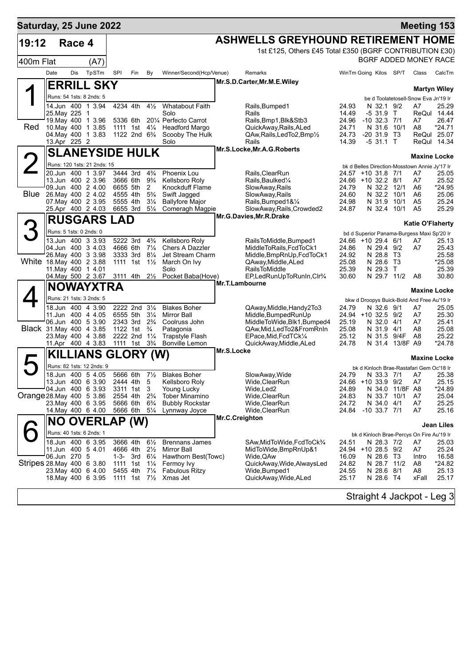| Saturday, 25 June 2022     |                         |        |                                         |            |                                                    |                                  |                                                 |                |                                                                |                |                                                                     |                 |                                      | <b>Meeting 153</b>         |
|----------------------------|-------------------------|--------|-----------------------------------------|------------|----------------------------------------------------|----------------------------------|-------------------------------------------------|----------------|----------------------------------------------------------------|----------------|---------------------------------------------------------------------|-----------------|--------------------------------------|----------------------------|
| 19:12                      |                         | Race 4 |                                         |            |                                                    |                                  |                                                 |                | <b>ASHWELLS GREYHOUND RETIREMENT HOME</b>                      |                |                                                                     |                 |                                      |                            |
|                            |                         |        |                                         |            |                                                    |                                  |                                                 |                | 1st £125, Others £45 Total £350 (BGRF CONTRIBUTION £30)        |                |                                                                     |                 |                                      |                            |
| 400m Flat                  |                         |        | (A7)                                    |            |                                                    |                                  |                                                 |                |                                                                |                | BGRF ADDED MONEY RACE                                               |                 |                                      |                            |
|                            | Date                    | Dis    | TpSTm                                   | <b>SPI</b> | Fin                                                | By                               | Winner/Second(Hcp/Venue)                        |                | Remarks                                                        |                | WinTm Going Kilos SP/T                                              |                 | Class                                | CalcTm                     |
|                            |                         |        | <b>ERRILL SKY</b>                       |            |                                                    |                                  |                                                 |                | Mr.S.D.Carter, Mr.M.E.Wiley                                    |                |                                                                     |                 |                                      | <b>Martyn Wiley</b>        |
|                            |                         |        | Runs: 54 1sts: 8 2nds: 5                |            |                                                    |                                  |                                                 |                |                                                                |                |                                                                     |                 | be d Toolatetosell-Snow Eva Jn'19 Ir |                            |
|                            |                         |        | 14.Jun 400 1 3.94                       |            | 4234 4th                                           | $4\frac{1}{2}$                   | <b>Whatabout Faith</b>                          |                | Rails, Bumped1                                                 | 24.93          | N 32.1 9/2                                                          |                 | A7                                   | 25.29                      |
|                            | 25.May 225 1            |        | 19. May 400 1 3.96                      |            | 5336 6th                                           |                                  | Solo<br>201/4 Perfecto Carrot                   |                | Rails<br>Rails, Bmp1, Blk&Stb3                                 | 14.49<br>24.96 | -5 31.9 T<br>$-10$ 32.3 $7/1$                                       |                 | A7                                   | ReQul 14.44<br>26.47       |
| Red                        |                         |        | 10. May 400 1 3.85                      |            | 1111 1st 41⁄4                                      |                                  | <b>Headford Margo</b>                           |                | QuickAway, Rails, ALed                                         | 24.71          | N 31.6                                                              | 10/1            | A8                                   | *24.71                     |
|                            | 13.Apr 225 2            |        | 04. May 400 1 3.83                      |            | 1122 2nd 6 <sup>3</sup> / <sub>4</sub>             |                                  | Scooby The Hulk<br>Solo                         |                | QAw, Rails, Led To 2, Bmp <sup>1/2</sup><br>Rails              | 24.73<br>14.39 | $-20$ 31.9 T3<br>$-531.1$ T                                         |                 |                                      | ReQul 25.07<br>ReQul 14.34 |
|                            |                         |        | <b>SLANEYSIDE HULK</b>                  |            |                                                    |                                  |                                                 |                | Mr.S.Locke, Mr.A.G. Roberts                                    |                |                                                                     |                 |                                      |                            |
|                            |                         |        | Runs: 120 1sts: 21 2nds: 15             |            |                                                    |                                  |                                                 |                |                                                                |                |                                                                     |                 | <b>Maxine Locke</b>                  |                            |
|                            |                         |        | 20.Jun 400 1 3.97                       |            | 3444 3rd                                           | $4\frac{3}{4}$                   | Phoenix Lou                                     |                | Rails, ClearRun                                                |                | bk d Belles Direction-Mosstown Annie Jy'17 Ir<br>24.57 +10 31.8 7/1 |                 | A7                                   | 25.05                      |
|                            |                         |        | 13.Jun 400 2 3.96                       | 3666 6th   |                                                    | $9\frac{3}{4}$                   | Kellsboro Roly                                  |                | Rails, Baulked <sup>1/4</sup>                                  |                | 24.66 +10 32.2 8/1                                                  |                 | A7                                   | 25.52                      |
| Blue                       |                         |        | 09.Jun 400 2 4.00<br>26. May 400 2 4.02 | 6655 5th   | 4555 4th                                           | 2<br>$5\frac{3}{4}$              | Knockduff Flame<br>Swift Jagged                 |                | SlowAway,Rails<br>SlowAway, Rails                              | 24.79<br>24.60 | N 32.2 12/1<br>N 32.2 10/1                                          |                 | A6<br>A6                             | *24.95<br>25.06            |
|                            |                         |        | 07. May 400 2 3.95                      | 5555 4th   |                                                    | $3\frac{1}{4}$                   | <b>Ballyfore Major</b>                          |                | Rails, Bumped 1 & 1/4                                          | 24.98          | N 31.9                                                              | 10/1            | A5                                   | 25.24                      |
|                            |                         |        | 25.Apr 400 2 4.03                       |            | 6655 3rd                                           | $5\frac{1}{4}$                   | Comeragh Magpie                                 |                | SlowAway, Rails, Crowded2                                      | 24.87          | N 32.4 10/1                                                         |                 | A <sub>5</sub>                       | 25.29                      |
|                            |                         |        | <b>RUSGARS LAD</b>                      |            |                                                    |                                  |                                                 |                | Mr.G.Davies, Mr.R.Drake                                        |                |                                                                     |                 | <b>Katie O'Flaherty</b>              |                            |
| 3                          | Runs: 5 1sts: 0 2nds: 0 |        |                                         |            |                                                    |                                  |                                                 |                |                                                                |                | bd d Superior Panama-Burgess Maxi Sp'20 Ir                          |                 |                                      |                            |
|                            |                         |        | 13.Jun 400 3 3.93                       |            | 5222 3rd                                           | $4\frac{3}{4}$                   | Kellsboro Roly                                  |                | RailsToMiddle, Bumped1                                         |                | 24.66 +10 29.4 6/1                                                  |                 | A7                                   | 25.13                      |
|                            |                         |        | 04.Jun 400 3 4.03<br>26. May 400 3 3.98 | 3333 3rd   | 4666 6th                                           | $7\frac{1}{4}$<br>$8\frac{1}{4}$ | Chers A Dazzler<br>Jet Stream Charm             |                | MiddleToRails, FcdToCk1<br>Middle, BmpRnUp, FcdToCk1           | 24.86<br>24.92 | N 29.4 9/2<br>N 28.8 T3                                             |                 | A7                                   | 25.43<br>25.58             |
| White 18. May 400 2 3.88   |                         |        |                                         |            | 1111 1st                                           | $1\frac{1}{2}$                   | March On Ivy                                    |                | QAway, Middle, ALed                                            | 25.08          | N 28.6 T3                                                           |                 |                                      | $*25.08$                   |
|                            | 11. May 400 1 4.01      |        | 04. May 500 2 3.67                      |            | 3111 4th                                           | $2\frac{1}{2}$                   | Solo<br>Pocket Baba(Hove)                       |                | <b>RailsToMiddle</b><br>EP,LedRunUpToRunIn,Clr <sup>3</sup> /4 | 25.39<br>30.60 | N 29.3 T<br>N 29.7 11/2                                             |                 | A8                                   | 25.39<br>30.80             |
|                            |                         |        | <b>NOWAYXTRA</b>                        |            |                                                    |                                  |                                                 |                | Mr.T.Lambourne                                                 |                |                                                                     |                 |                                      |                            |
|                            |                         |        | Runs: 21 1sts: 3 2nds: 5                |            |                                                    |                                  |                                                 |                |                                                                |                |                                                                     |                 | <b>Maxine Locke</b>                  |                            |
|                            |                         |        | 18.Jun 400 4 3.90                       |            | 2222 2nd 31/4                                      |                                  | <b>Blakes Boher</b>                             |                | QAway, Middle, Handy 2To 3                                     | 24.79          | bkw d Droopys Buick-Bold And Free Au'19 Ir<br>N 32.6 9/1            |                 | A7                                   | 25.05                      |
|                            |                         |        | 11.Jun 400 4 4.05                       |            | 6555 5th                                           | $3\frac{1}{4}$                   | <b>Mirror Ball</b>                              |                | Middle, Bumped Run Up                                          |                | 24.94 +10 32.5 9/2                                                  |                 | A7                                   | 25.30                      |
| Black 31. May 400 4 3.85   |                         |        | 06.Jun 400 5 3.90                       |            | 2343 3rd 2 <sup>3</sup> / <sub>4</sub><br>1122 1st | $\frac{3}{4}$                    | Coolruss John<br>Patagonia                      |                | MiddleToWide, Blk1, Bumped4<br>QAw,Mid,LedTo2&FromRnIn         | 25.19<br>25.08 | N 32.0 4/1<br>N 31.9 4/1                                            |                 | A7<br>A8                             | 25.41<br>25.08             |
|                            |                         |        | 23. May 400 4 3.88                      |            | 2222 2nd 11/4                                      |                                  | Trapstyle Flash                                 |                | EPace, Mid, FcdTCk1/4                                          | 25.12          | N 31.5 9/4F                                                         |                 | A8                                   | 25.22                      |
|                            |                         |        | 11.Apr 400 4 3.83                       |            | 1111 1st $3\frac{1}{4}$                            |                                  | <b>Bonville Lemon</b>                           | Mr.S.Locke     | QuickAway,Middle,ALed                                          | 24.78          | N 31.4                                                              | 13/8F A9        |                                      | *24.78                     |
|                            |                         |        | <b>KILLIANS GLORY (W)</b>               |            |                                                    |                                  |                                                 |                |                                                                |                |                                                                     |                 | <b>Maxine Locke</b>                  |                            |
| 5                          |                         |        | Runs: 82 1sts: 12 2nds: 9               |            |                                                    |                                  |                                                 |                |                                                                |                | bk d Kinloch Brae-Rastafari Gem Oc'18 Ir                            |                 |                                      |                            |
|                            |                         |        | 18.Jun 400 5 4.05<br>13.Jun 400 6 3.90  | 2444 4th   | 5666 6th                                           | 5                                | 71/ <sub>2</sub> Blakes Boher<br>Kellsboro Roly |                | SlowAway, Wide<br>Wide, ClearRun                               | 24.79          | 24.66 +10 33.9 9/2                                                  | N 33.3 7/1 A7   | A7                                   | 25.38<br>25.15             |
|                            |                         |        | 04.Jun 400 6 3.93                       |            | 3311 1st                                           | 3                                | Young Lucky                                     |                | Wide,Led2                                                      | 24.89          |                                                                     | N 34.0 11/8F A8 |                                      | *24.89                     |
| Orange 28 May 400 5 3.86   |                         |        | 23. May 400 6 3.95                      | 2554 4th   | 5666 6th                                           | $2\frac{3}{4}$<br>$6\frac{3}{4}$ | <b>Tober Minamino</b><br><b>Bubbly Rockstar</b> |                | Wide,ClearRun<br>Wide,ClearRun                                 | 24.83<br>24.72 | N 33.7 10/1<br>N 34.0 4/1                                           |                 | A7<br>A7                             | 25.04<br>25.25             |
|                            |                         |        | 14. May 400 6 4.00                      |            | 5666 6th                                           | $5\frac{1}{4}$                   | Lynnway Joyce                                   |                | Wide, Clear Run                                                | 24.84          | $-10$ 33.7 $7/1$                                                    |                 | A7                                   | 25.16                      |
|                            | NO.                     |        | <b>OVERLAP (W)</b>                      |            |                                                    |                                  |                                                 | Mr.C.Creighton |                                                                |                |                                                                     |                 |                                      | <b>Jean Liles</b>          |
|                            |                         |        | Runs: 40 1sts: 6 2nds: 1                |            |                                                    |                                  |                                                 |                |                                                                |                | bk d Kinloch Brae-Percys On Fire Au'19 Ir                           |                 |                                      |                            |
|                            |                         |        | 18.Jun 400 6 3.95                       |            | 3666 4th                                           | $6\frac{1}{2}$                   | <b>Brennans James</b>                           |                | SAw,MidToWide,FcdToCk3/4                                       | 24.51          | N 28.3 7/2                                                          |                 | A7                                   | 25.03                      |
|                            | 06.Jun 270 5            |        | 11.Jun 400 5 4.01                       | 1-3-       | 4666 4th<br>3rd                                    | $2\frac{1}{2}$<br>$6\frac{1}{4}$ | <b>Mirror Ball</b><br>Hawthorn Best(Towc)       |                | MidToWide, BmpRnUp&1<br>Wide,QAw                               | 16.09          | 24.94 +10 28.5 9/2<br>N 28.6 T3                                     |                 | A7<br>Intro                          | 25.24<br>16.58             |
| Stripes 28. May 400 6 3.80 |                         |        |                                         |            | 1111 1st                                           | $1\frac{1}{4}$                   | Fermoy Ivy                                      |                | QuickAway, Wide, AlwaysLed                                     | 24.82          | N 28.7 11/2                                                         |                 | A <sub>8</sub>                       | *24.82                     |
|                            |                         |        | 23. May 400 6 4.00                      |            | 5455 4th                                           | $7\frac{1}{4}$                   | <b>Fabulous Ritzy</b>                           |                | Wide,Bumped1                                                   | 24.55          | N 28.6 8/1                                                          |                 | A <sub>8</sub>                       | 25.13                      |
|                            |                         |        | 18. May 400 6 3.95                      |            | 1111 1st $7\frac{1}{2}$                            |                                  | Xmas Jet                                        |                | QuickAway, Wide, ALed                                          | 25.17          | N 28.6 T4                                                           |                 | xFall                                | 25.17                      |
|                            |                         |        |                                         |            |                                                    |                                  |                                                 |                |                                                                |                | Straight 4 Jackpot - Leg 3                                          |                 |                                      |                            |
|                            |                         |        |                                         |            |                                                    |                                  |                                                 |                |                                                                |                |                                                                     |                 |                                      |                            |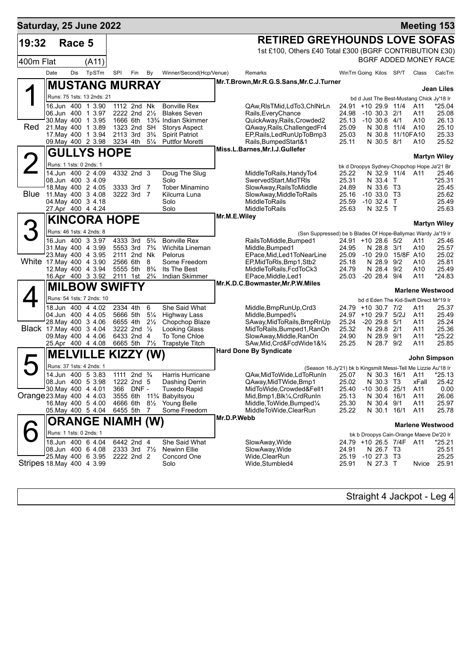|             | Saturday, 25 June 2022    |                                          |                                      |                                  |                                                                       |             |                                                                                        |                |                                           |                          | <b>Meeting 153</b>                                            |                     |
|-------------|---------------------------|------------------------------------------|--------------------------------------|----------------------------------|-----------------------------------------------------------------------|-------------|----------------------------------------------------------------------------------------|----------------|-------------------------------------------|--------------------------|---------------------------------------------------------------|---------------------|
| 19:32       |                           | Race 5                                   |                                      |                                  |                                                                       |             | <b>RETIRED GREYHOUNDS LOVE SOFAS</b>                                                   |                |                                           |                          |                                                               |                     |
|             |                           |                                          |                                      |                                  |                                                                       |             | 1st £100, Others £40 Total £300 (BGRF CONTRIBUTION £30)                                |                |                                           |                          | BGRF ADDED MONEY RACE                                         |                     |
| 400m Flat   |                           | (A11)                                    |                                      |                                  |                                                                       |             |                                                                                        |                |                                           |                          |                                                               |                     |
|             | Date<br>Dis               | TpSTm                                    | SPI<br>Fin                           | By                               | Winner/Second(Hcp/Venue)                                              |             | Remarks                                                                                |                | WinTm Going Kilos SP/T                    |                          | Class                                                         | CalcTm              |
|             |                           |                                          | <b>MUSTANG MURRAY</b>                |                                  |                                                                       |             | Mr.T.Brown, Mr.R.G.S.Sans, Mr.C.J.Turner                                               |                |                                           |                          |                                                               | <b>Jean Liles</b>   |
|             |                           | Runs: 75 1sts: 13 2nds: 21               |                                      |                                  |                                                                       |             |                                                                                        |                |                                           |                          | bd d Just The Best-Mustang Chick Jy'18 Ir                     |                     |
|             |                           | 16.Jun 400 1 3.90                        | 1112 2nd Nk                          |                                  | <b>Bonville Rex</b>                                                   |             | QAw,RIsTMid,LdTo3,ChINrLn                                                              |                | 24.91 +10 29.9 11/4                       |                          | A11                                                           | $*25.04$            |
|             |                           | 06.Jun 400 1 3.97                        | 2222 2nd $2\frac{1}{2}$              |                                  | <b>Blakes Seven</b>                                                   |             | Rails, Every Chance                                                                    | 24.98          | $-10$ 30.3 $2/1$                          |                          | A11                                                           | 25.08               |
| Red         |                           | 30. May 400 1 3.95<br>21. May 400 1 3.89 | 1666 6th<br>1323 2nd SH              |                                  | 13 <sup>3</sup> / <sub>4</sub> Indian Skimmer<br><b>Storys Aspect</b> |             | QuickAway, Rails, Crowded2<br>QAway, Rails, Challenged Fr4                             | 25.13<br>25.09 | $-10, 30.6, 4/1$                          | N 30.8 11/4              | A10<br>A10                                                    | 26.13<br>25.10      |
|             |                           | 17 May 400 1 3.94                        | 2113 3rd                             | $3\frac{3}{4}$                   | <b>Spirit Patriot</b>                                                 |             | EP, Rails, Led Run Up To Bmp3                                                          | 25.03          | N 30.8                                    |                          | 11/10FA10                                                     | 25.33               |
|             |                           | 09. May 400 2 3.98                       | 3234 4th                             | $5\frac{1}{4}$                   | <b>Puttfor Moretti</b>                                                |             | Rails, BumpedStart&1                                                                   | 25.11          |                                           | N 30.5 8/1               | A10                                                           | 25.52               |
|             |                           | <b>GULLYS HOPE</b>                       |                                      |                                  |                                                                       |             | Miss.L.Barnes, Mr.I.J.Gullefer                                                         |                |                                           |                          |                                                               | <b>Martyn Wiley</b> |
|             | Runs: 1 1sts: 0 2nds: 1   |                                          |                                      |                                  |                                                                       |             |                                                                                        |                |                                           |                          |                                                               |                     |
|             |                           | 14.Jun 400 24.09                         | 4332 2nd 3                           |                                  | Doug The Slug                                                         |             | MiddleToRails,HandyTo4                                                                 | 25.22          |                                           |                          | bk d Droopys Sydney-Chopchop Hope Ja'21 Br<br>N 32.9 11/4 A11 | 25.46               |
|             | 08.Jun 400 3 4.09         |                                          |                                      |                                  | Solo                                                                  |             | SwervedStart,MidTRIs                                                                   | 25.31          |                                           | N 33.4 T                 |                                                               | $*25.31$            |
| <b>Blue</b> |                           | 18. May 400 2 4.05                       | 3333 3rd 7                           |                                  | <b>Tober Minamino</b>                                                 |             | SlowAway, RailsToMiddle                                                                | 24.89          |                                           | N 33.6 T3                |                                                               | 25.45               |
|             |                           | 11. May 400 3 4.08<br>04. May 400 3 4.18 | 3222 3rd 7                           |                                  | Kilcurra Luna<br>Solo                                                 |             | SlowAway, MiddleToRails<br><b>MiddleToRails</b>                                        | 25.16<br>25.59 | $-10$ 33.0 T3<br>$-10$ 32.4 T             |                          |                                                               | 25.62<br>25.49      |
|             |                           | 27.Apr 400 4 4.24                        |                                      |                                  | Solo                                                                  |             | <b>MiddleToRails</b>                                                                   | 25.63          |                                           | N 32.5 T                 |                                                               | 25.63               |
|             |                           |                                          | <b>KINCORA HOPE</b>                  |                                  |                                                                       |             | Mr.M.E.Wiley                                                                           |                |                                           |                          |                                                               |                     |
| 3           |                           | Runs: 46 1sts: 4 2nds: 8                 |                                      |                                  |                                                                       |             |                                                                                        |                |                                           |                          |                                                               | <b>Martyn Wiley</b> |
|             |                           | 16.Jun 400 3 3.97                        | 4333 3rd                             | $5\frac{3}{4}$                   | <b>Bonville Rex</b>                                                   |             | (Ssn Suppressed) be b Blades Of Hope-Ballymac Wardy Ja'19 Ir<br>RailsToMiddle, Bumped1 |                | 24.91 +10 28.6 5/2                        |                          | A11                                                           | 25.46               |
|             |                           | 31 May 400 4 3.99                        | 5553 3rd                             | $7\frac{3}{4}$                   | Wichita Lineman                                                       |             | Middle, Bumped 1                                                                       | 24.95          |                                           | N 28.8 3/1               | A10                                                           | 25.57               |
|             |                           | 23. May 400 4 3.95                       | 2111 2nd Nk                          |                                  | Pelorus                                                               |             | EPace, Mid, Led 1 To Near Line                                                         | 25.09          |                                           |                          | -10 29.0 15/8F A10                                            | 25.02               |
|             | White 17 May 400 4 3.90   |                                          | 2566 6th                             | 8                                | Some Freedom                                                          |             | EP, MidToRIs, Bmp1, Stb2                                                               | 25.18          | N 28.9                                    | 9/2                      | A10                                                           | 25.81               |
|             |                           | 12. May 400 4 3.94<br>16.Apr 400 3 3.92  | 5555 5th<br>2111 1st                 | $8\frac{3}{4}$<br>$2\frac{3}{4}$ | Its The Best<br>Indian Skimmer                                        |             | MiddleToRails, FcdToCk3<br>EPace, Middle, Led1                                         | 24.79<br>25.03 | N 28.4<br>$-2028.4$                       | 9/2<br>9/4               | A10<br>A11                                                    | 25.49<br>$*24.83$   |
|             |                           |                                          | <b>MILBOW SWIFTY</b>                 |                                  |                                                                       |             | Mr.K.D.C.Bowmaster, Mr.P.W.Miles                                                       |                |                                           |                          |                                                               |                     |
|             |                           |                                          |                                      |                                  |                                                                       |             |                                                                                        |                |                                           |                          | <b>Marlene Westwood</b>                                       |                     |
|             |                           | Runs: 54 1sts: 7 2nds: 10                |                                      |                                  |                                                                       |             |                                                                                        |                |                                           |                          | bd d Eden The Kid-Swift Direct Mr'19 Ir                       |                     |
|             |                           | 18.Jun 400 4 4.02<br>04.Jun 400 4 4.05   | 2334 4th<br>5666 5th                 | 6<br>$5\frac{1}{4}$              | She Said What<br><b>Highway Lass</b>                                  |             | Middle, BmpRunUp, Crd3<br>Middle, Bumped <sup>3</sup> /4                               |                | 24.79 +10 30.7 7/2<br>24.97 +10 29.7 5/2J |                          | A11<br>A11                                                    | 25.37<br>25.49      |
|             |                           | 28. May 400 3 4.06                       | 6655 4th                             | $2\frac{1}{2}$                   | Chopchop Blaze                                                        |             | SAway, MidToRails, BmpRnUp                                                             | 25.24          | $-2029.85/1$                              |                          | A11                                                           | 25.24               |
|             | Black 17 May 400 3 4.04   |                                          | 3222 2nd $\frac{1}{2}$               |                                  | <b>Looking Glass</b>                                                  |             | MidToRails, Bumped 1, RanOn                                                            | 25.32          | N 29.8                                    | 2/1                      | A11                                                           | 25.36               |
|             |                           | 09. May 400 4 4.06<br>25.Apr 400 4 4.08  | 6433 2nd 4<br>6665 5th 71/2          |                                  | To Tone Chloe<br>Trapstyle Titch                                      |             | SlowAway,Middle,RanOn<br>SAw,Mid,Crd&FcdWide1&¾                                        | 24.90<br>25.25 |                                           | N 28.9 9/1<br>N 28.7 9/2 | A11<br>A11                                                    | *25.22<br>25.85     |
|             |                           |                                          |                                      |                                  |                                                                       |             | <b>Hard Done By Syndicate</b>                                                          |                |                                           |                          |                                                               |                     |
|             |                           | <b>MELVILLE</b>                          | KIZZY (W)                            |                                  |                                                                       |             |                                                                                        |                |                                           |                          |                                                               | John Simpson        |
|             |                           | Runs: 37 1sts: 4 2nds: 1                 |                                      |                                  |                                                                       |             | (Season 16.Jy'21) bk b Kingsmill Messi-Tell Me Lizzie Au'18 Ir                         |                |                                           |                          |                                                               |                     |
|             |                           | 14.Jun 400 5 3.83                        | 1111 2nd <sup>3</sup> / <sub>4</sub> |                                  | Harris Hurricane                                                      |             | QAw,MidToWide,LdToRunIn 25.07                                                          |                |                                           |                          | N 30.3 16/1 A11 *25.13                                        |                     |
|             | 30. May 400 4 4.01        | 08.Jun 400 5 3.98                        | 1222 2nd 5<br>366<br>DNF -           |                                  | Dashing Derrin<br><b>Tuxedo Rapid</b>                                 |             | QAway, MidTWide, Bmp1<br>MidToWide,Crowded&Fell1                                       | 25.02<br>25.40 | $-10$ 30.6 25/1                           | N 30.3 T3                | xFall<br>A11                                                  | 25.42<br>0.00       |
|             | Orange 23. May 400 4 4.03 |                                          | 3555 6th                             |                                  | 11% Babyitsyou                                                        |             | Mid, Bmp1, Blk1/4, CrdRunIn                                                            | 25.13          | N 30.4                                    | 16/1                     | A11                                                           | 26.06               |
|             |                           | 16 May 400 5 4.00                        | 4666 6th                             | $8\frac{1}{2}$                   | Young Belle                                                           |             | Middle, ToWide, Bumped1/4                                                              | 25.30          |                                           | N 30.4 9/1               | A11                                                           | 25.97               |
|             |                           | 05. May 400 5 4.04                       | 6455 5th                             | 7                                | Some Freedom                                                          | Mr.D.P.Webb | MiddleToWide,ClearRun                                                                  | 25.22          |                                           | N 30.1 16/1              | A11                                                           | 25.78               |
|             |                           |                                          | ORANGE NIAMH (W)                     |                                  |                                                                       |             |                                                                                        |                |                                           |                          | <b>Marlene Westwood</b>                                       |                     |
|             | Runs: 1 1sts: 0 2nds: 1   |                                          |                                      |                                  |                                                                       |             |                                                                                        |                |                                           |                          | bk b Droopys Cain-Orange Maeve De'20 Ir                       |                     |
|             |                           | 18.Jun 400 6 4.04                        | 6442 2nd 4                           |                                  | She Said What                                                         |             | SlowAway, Wide                                                                         |                | 24.79 +10 26.5 7/4F                       |                          | A11                                                           | *25.21              |
|             |                           | 08.Jun 400 6 4.08                        | 2333 3rd 71/2                        |                                  | <b>Newinn Ellie</b>                                                   |             | SlowAway, Wide                                                                         | 24.91          |                                           | N 26.7 T3                |                                                               | 25.51               |
|             | Stripes 18 May 400 4 3.99 | 25. May 400 6 3.95                       | 2222 2nd 2                           |                                  | Concord One<br>Solo                                                   |             | Wide, ClearRun<br>Wide, Stumbled4                                                      | 25.19<br>25.91 | $-10$ 27.3 T3                             | N 27.3 T                 | Nvice                                                         | 25.25<br>25.91      |
|             |                           |                                          |                                      |                                  |                                                                       |             |                                                                                        |                |                                           |                          |                                                               |                     |

Straight 4 Jackpot - Leg 4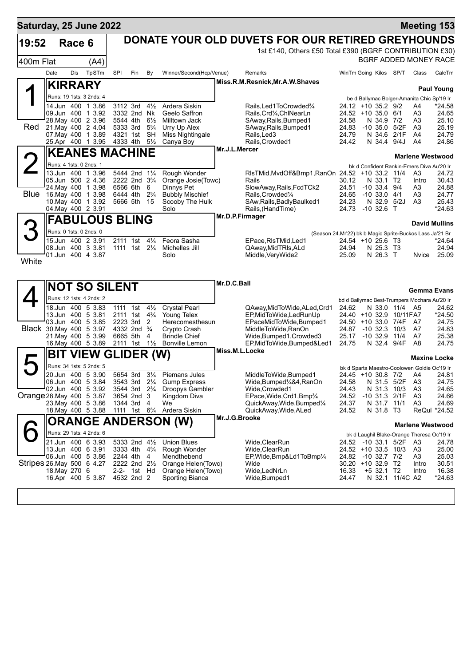| Saturday, 25 June 2022          |                         |            |                                          |                      |                                                         |                                  |                                           |                |                                                                                  |                                            |                                  |                            |                                                  | <b>Meeting 153</b>                           |
|---------------------------------|-------------------------|------------|------------------------------------------|----------------------|---------------------------------------------------------|----------------------------------|-------------------------------------------|----------------|----------------------------------------------------------------------------------|--------------------------------------------|----------------------------------|----------------------------|--------------------------------------------------|----------------------------------------------|
| 19:52                           |                         | Race 6     |                                          |                      |                                                         |                                  |                                           |                | DONATE YOUR OLD DUVETS FOR OUR RETIRED GREYHOUNDS                                |                                            |                                  |                            |                                                  |                                              |
|                                 |                         |            |                                          |                      |                                                         |                                  |                                           |                | 1st £140, Others £50 Total £390 (BGRF CONTRIBUTION £30)                          |                                            |                                  |                            |                                                  |                                              |
| 400m Flat                       |                         |            | (A4)                                     |                      |                                                         |                                  |                                           |                |                                                                                  |                                            |                                  |                            |                                                  | BGRF ADDED MONEY RACE                        |
|                                 | Date                    | <b>Dis</b> | TpSTm                                    | SPI                  | Fin                                                     | By                               | Winner/Second(Hcp/Venue)                  |                | Remarks                                                                          | WinTm Going Kilos SP/T                     |                                  |                            | Class                                            | CalcTm                                       |
|                                 | <b>KIRRARY</b>          |            |                                          |                      |                                                         |                                  |                                           |                | Miss.R.M.Resnick, Mr.A.W.Shaves                                                  |                                            |                                  |                            |                                                  |                                              |
|                                 |                         |            | Runs: 19 1sts: 3 2nds: 4                 |                      |                                                         |                                  |                                           |                |                                                                                  |                                            |                                  |                            |                                                  | <b>Paul Young</b>                            |
|                                 | 14.Jun 400              |            | 1 3.86                                   | 3112 3rd             |                                                         | $4\frac{1}{2}$                   | Ardera Siskin                             |                | Rails, Led 1 To Crowded 3/4                                                      | 24.12 +10 35.2 9/2                         |                                  |                            | be d Ballymac Bolger-Amanita Chic Sp'19 Ir<br>A4 | *24.58                                       |
|                                 |                         |            | 09.Jun 400 1 3.92                        |                      | 3332 2nd Nk                                             |                                  | Geelo Saffron                             |                | Rails, Crd1/4, ChlNearLn                                                         | 24.52 +10 35.0 6/1                         |                                  |                            | A3                                               | 24.65                                        |
| Red                             |                         |            | 28. May 400 2 3.96<br>21. May 400 2 4.04 | 5544 4th<br>5333 3rd |                                                         | $6\frac{1}{2}$<br>$5\frac{3}{4}$ | <b>Milltown Jack</b><br>Urry Up Alex      |                | SAway, Rails, Bumped1<br>SAway, Rails, Bumped1                                   | 24.58<br>24.83                             | N 34.9<br>$-10,35.0$             | 7/2<br>5/2F                | A3<br>A3                                         | 25.10<br>25.19                               |
|                                 |                         |            | 07. May 400 1 3.89                       | 4321 1st             |                                                         | <b>SH</b>                        | Miss Nightingale                          |                | Rails, Led 3                                                                     | 24.79                                      | N 34.6                           | 2/1F                       | A4                                               | 24.79                                        |
|                                 |                         |            | 25.Apr 400 1 3.95                        | 4333 4th             |                                                         | $5\frac{1}{2}$                   | Canya Boy                                 | Mr.J.L.Mercer  | Rails, Crowded1                                                                  | 24.42                                      | N 34.4                           | 9/4J                       | A4                                               | 24.86                                        |
|                                 |                         |            | <b>KEANES MACHINE</b>                    |                      |                                                         |                                  |                                           |                |                                                                                  |                                            |                                  |                            |                                                  | <b>Marlene Westwood</b>                      |
|                                 | Runs: 4 1sts: 0 2nds: 1 |            |                                          |                      |                                                         |                                  |                                           |                |                                                                                  |                                            |                                  |                            | bk d Confident Rankin-Emers Diva Au'20 Ir        |                                              |
|                                 |                         |            | 13.Jun 400 1 3.96<br>05.Jun 500 2 4.36   |                      | 5444 2nd 11/4<br>2222 2nd 3 <sup>3</sup> / <sub>4</sub> |                                  | Rough Wonder<br>Orange Josie(Towc)        |                | RIsTMid, MvdOff&Bmp1, RanOn 24.52 +10 33.2 11/4<br>Rails                         | 30.12                                      | N 33.1 T2                        |                            | A3<br>Intro                                      | 24.72<br>30.43                               |
|                                 |                         |            | 24. May 400 1 3.98                       |                      | 6566 6th                                                | 6                                | Dinnys Pet                                |                | SlowAway, Rails, FcdTCk2                                                         | 24.51                                      | $-10.33.4$                       | 9/4                        | A3                                               | 24.88                                        |
| Blue                            |                         |            | 16. May 400 1 3.98<br>10. May 400 1 3.92 | 6444 4th             | 5666 5th 15                                             | $2\frac{3}{4}$                   | <b>Bubbly Mischief</b><br>Scooby The Hulk |                | Rails, Crowded <sup>1</sup> / <sub>4</sub><br>SAw, Rails, Badly Baulked1         | 24.65<br>24.23                             | $-10$ 33.0 $4/1$<br>N 32.9 5/2J  |                            | A3<br>A <sub>3</sub>                             | 24.77<br>25.43                               |
|                                 |                         |            | 04. May 400 2 3.91                       |                      |                                                         |                                  | Solo                                      |                | Rails, (HandTime)                                                                | 24.73                                      | $-10,32.6$ T                     |                            |                                                  | $*24.63$                                     |
|                                 |                         |            | <b>FABULOUS BLING</b>                    |                      |                                                         |                                  |                                           |                | Mr.D.P.Firmager                                                                  |                                            |                                  |                            |                                                  |                                              |
|                                 | Runs: 0 1sts: 0 2nds: 0 |            |                                          |                      |                                                         |                                  |                                           |                |                                                                                  |                                            |                                  |                            |                                                  | <b>David Mullins</b>                         |
|                                 |                         |            | 15.Jun 400 2 3.91                        |                      | 2111 1st                                                | $4\frac{1}{4}$                   | Feora Sasha                               |                | (Season 24.Mr'22) bk b Magic Sprite-Buckos Lass Ja'21 Br<br>EPace, RIsTMid, Led1 | 24.54 +10 25.6 T3                          |                                  |                            |                                                  | $*24.64$                                     |
|                                 |                         |            | 08.Jun 400 3 3.81                        |                      | 1111 1st 21/ <sub>4</sub>                               |                                  | Michelles Jill                            |                | QAway, Mid TRIs, ALd                                                             | 24.94                                      | N 25.3 T3                        |                            |                                                  | 24.94                                        |
| White                           |                         |            | 01.Jun 400 4 3.87                        |                      |                                                         |                                  | Solo                                      |                | Middle, Very Wide2                                                               | 25.09                                      | N 26.3 T                         |                            | Nvice                                            | 25.09                                        |
|                                 |                         |            |                                          |                      |                                                         |                                  |                                           |                |                                                                                  |                                            |                                  |                            |                                                  |                                              |
|                                 |                         |            |                                          |                      |                                                         |                                  |                                           | Mr.D.C.Ball    |                                                                                  |                                            |                                  |                            |                                                  |                                              |
|                                 |                         |            | <b>NOT SO SILENT</b>                     |                      |                                                         |                                  |                                           |                |                                                                                  |                                            |                                  |                            |                                                  | <b>Gemma Evans</b>                           |
|                                 |                         |            | Runs: 12 1sts: 4 2nds: 2                 |                      |                                                         |                                  |                                           |                |                                                                                  |                                            |                                  |                            |                                                  | bd d Ballymac Best-Trumpers Mochara Au'20 Ir |
|                                 |                         |            | 18.Jun 400 5 3.83<br>13.Jun 400 5 3.81   |                      | 1111 1st<br>2111 1st 4 <sup>3</sup> / <sub>4</sub>      | $4\frac{1}{2}$                   | <b>Crystal Pearl</b><br>Young Telex       |                | QAway,MidToWide,ALed,Crd1<br>EP, MidToWide, LedRunUp                             | 24.62<br>24.40 +10 32.9                    |                                  | N 33.0 11/4 A5<br>10/11FA7 |                                                  | 24.62<br>$*24.50$                            |
|                                 |                         |            | 03.Jun 400 5 3.85                        | 2223 3rd             |                                                         | 2                                | Herecomesthesun                           |                | EPaceMidToWide, Bumped1                                                          | $24.50 + 10.33.0$                          |                                  | 7/4F                       | - A7                                             | 24.75                                        |
| <b>Black</b> 30. May 400 5 3.97 |                         |            | 21. May 400 5 3.99                       | 6665 5th             | 4332 2nd <sup>3</sup> / <sub>4</sub>                    | 4                                | Crypto Crash<br><b>Brindle Chief</b>      |                | MiddleToWide.RanOn<br>Wide, Bumped 1, Crowded 3                                  | 24.87<br>25.17                             | $-10.32.3$<br>$-10.32.9$         | 10/3<br>11/4               | A7<br>A7                                         | 24.83<br>25.38                               |
|                                 |                         |            | 16. May 400 5 3.89                       |                      | 2111 1st 11/ <sub>2</sub>                               |                                  | <b>Bonville Lemon</b>                     |                | EP.MidToWide,Bumped&Led1                                                         | 24.75                                      | N 32.4 9/4F                      |                            | A8                                               | 24.75                                        |
|                                 | BIT                     |            | <b>VIEW GLIDER (W)</b>                   |                      |                                                         |                                  |                                           | Miss.M.L.Locke |                                                                                  |                                            |                                  |                            |                                                  | <b>Maxine Locke</b>                          |
|                                 |                         |            | Runs: 34 1sts: 5 2nds: 5                 |                      |                                                         |                                  |                                           |                |                                                                                  |                                            |                                  |                            | bk d Sparta Maestro-Coolowen Goldie Oc'19 Ir     |                                              |
|                                 |                         |            | 20.Jun 400 5 3.90                        |                      | 5654 3rd                                                | $3\frac{1}{4}$                   | Piemans Jules                             |                | MiddleToWide, Bumped1                                                            | 24.45 +10 30.8                             |                                  | 7/2                        | A4                                               | 24.81                                        |
|                                 |                         |            | 06.Jun 400 5 3.84                        |                      | 3543 3rd<br>3544 3rd 2 <sup>3</sup> / <sub>4</sub>      | $2\frac{1}{4}$                   | <b>Gump Express</b>                       |                | Wide, Bumped 1/4&4, RanOn                                                        | 24.58                                      | N 31.5 5/2F                      |                            | A3                                               | 24.75                                        |
| Orange 28. May 400 5 3.87       |                         |            | 02.Jun 400 5 3.92                        |                      | 3654 2nd 3                                              |                                  | Droopys Gambler<br>Kingdom Diva           |                | Wide,Crowded1<br>EPace, Wide, Crd1, Bmp <sup>3</sup> /4                          | 24.43<br>24.52                             | N 31.3 10/3<br>$-10$ 31.3 $2/1F$ |                            | A3<br>A3                                         | 24.65<br>24.66                               |
|                                 |                         |            | 23. May 400 5 3.86                       |                      | 1344 3rd 4                                              |                                  | We                                        |                | QuickAway,Wide,Bumped1/4                                                         | 24.37                                      | N 31.7 11/1                      |                            | A <sub>3</sub>                                   | 24.69                                        |
|                                 |                         |            | 18. May 400 5 3.88                       |                      | 1111 1st 6 <sup>3</sup> / <sub>4</sub>                  |                                  | Ardera Siskin                             | Mr.J.G.Brooke  | QuickAway, Wide, ALed                                                            | 24.52                                      | N 31.8 T3                        |                            |                                                  | ReQul *24.52                                 |
|                                 |                         |            |                                          |                      |                                                         |                                  | ORANGE ANDERSON (W)                       |                |                                                                                  |                                            |                                  |                            |                                                  | <b>Marlene Westwood</b>                      |
|                                 |                         |            | Runs: 29 1sts: 4 2nds: 6                 |                      |                                                         |                                  |                                           |                |                                                                                  |                                            |                                  |                            |                                                  | bk d Laughil Blake-Orange Theresa Oc'19 Ir   |
|                                 |                         |            | 21.Jun 400 6 3.93<br>13.Jun 400 6 3.91   |                      | 5333 2nd 41/2<br>3333 4th 4 <sup>3</sup> / <sub>4</sub> |                                  | <b>Union Blues</b><br>Rough Wonder        |                | Wide, ClearRun<br>Wide, ClearRun                                                 | 24.52 -10 33.1 5/2F<br>24.52 +10 33.5 10/3 |                                  |                            | A3<br>A3                                         | 24.78<br>25.00                               |
|                                 |                         |            | 06.Jun 400 5 3.86                        |                      | 2244 4th 4                                              |                                  | Mendthebend                               |                | EP,Wide,Bmp&Ld1ToBmp1/4                                                          | 24.82 -10 32.7 7/2                         |                                  |                            | A3                                               | 25.03                                        |
| Stripes 26. May 500 6 4.27      |                         |            |                                          |                      | 2222 2nd 21/2                                           |                                  | Orange Helen(Towc)                        |                | Wide                                                                             | 30.20 +10 32.9 T2                          |                                  |                            | Intro                                            | 30.51                                        |
|                                 | 18. May 270 6           |            | 16.Apr 400 5 3.87                        |                      | 2-2- 1st Hd<br>4532 2nd 2                               |                                  | Orange Helen(Towc)<br>Sporting Bianca     |                | Wide,LedNrLn<br>Wide, Bumped1                                                    | 16.33<br>24.47                             | +5 32.1 T2                       | N 32.1 11/4C A2            | Intro                                            | 16.38<br>$*24.63$                            |
|                                 |                         |            |                                          |                      |                                                         |                                  |                                           |                |                                                                                  |                                            |                                  |                            |                                                  |                                              |
|                                 |                         |            |                                          |                      |                                                         |                                  |                                           |                |                                                                                  |                                            |                                  |                            |                                                  |                                              |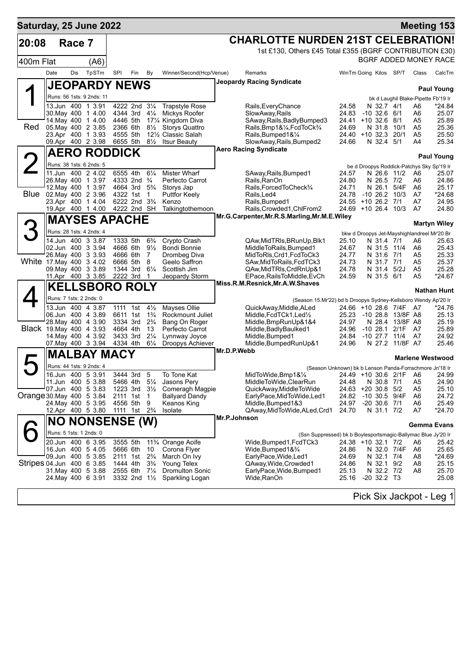| Saturday, 25 June 2022    |                         |        |                                               |                      |                                                                                |                                  |                                           |              |                                                                             |                             |                              |                                             |                | <b>Meeting 153</b>                            |
|---------------------------|-------------------------|--------|-----------------------------------------------|----------------------|--------------------------------------------------------------------------------|----------------------------------|-------------------------------------------|--------------|-----------------------------------------------------------------------------|-----------------------------|------------------------------|---------------------------------------------|----------------|-----------------------------------------------|
| 20:08                     |                         | Race 7 |                                               |                      |                                                                                |                                  |                                           |              | <b>CHARLOTTE NURDEN 21ST CELEBRATION!</b>                                   |                             |                              |                                             |                |                                               |
|                           |                         |        |                                               |                      |                                                                                |                                  |                                           |              | 1st £130, Others £45 Total £355 (BGRF CONTRIBUTION £30)                     |                             |                              |                                             |                |                                               |
| 400m Flat                 |                         |        | (A6)                                          |                      |                                                                                |                                  |                                           |              |                                                                             |                             |                              |                                             |                | BGRF ADDED MONEY RACE                         |
|                           | Date                    | Dis    | TpSTm                                         | SPI                  | Fin                                                                            | By                               | Winner/Second(Hcp/Venue)                  |              | Remarks                                                                     | WinTm Going Kilos SP/T      |                              |                                             | Class          | CalcTm                                        |
|                           |                         |        | <b>JEOPARDY NEWS</b>                          |                      |                                                                                |                                  |                                           |              | Jeopardy Racing Syndicate                                                   |                             |                              |                                             |                |                                               |
|                           |                         |        | Runs: 56 1sts: 9 2nds: 11                     |                      |                                                                                |                                  |                                           |              |                                                                             |                             |                              |                                             |                | <b>Paul Young</b>                             |
|                           |                         |        | 13.Jun 400 1 3.91                             |                      | 4222 2nd 31/4                                                                  |                                  | <b>Trapstyle Rose</b>                     |              | Rails, Every Chance                                                         | 24.58                       | N 32.7 4/1                   |                                             | A6             | bk d Laughil Blake-Pipette Fb'19 Ir<br>*24.84 |
|                           |                         |        | 30. May 400 1 4.00                            |                      | 4344 3rd 41/4                                                                  |                                  | Mickys Roofer                             |              | SlowAway, Rails                                                             | 24.83                       | $-10$ 32.6 6/1               |                                             | A6             | 25.07                                         |
| Red                       |                         |        | 14 May 400 1 4.00<br>05. May 400 2 3.85       | 4446 5th<br>2366 6th |                                                                                | $8\frac{1}{2}$                   | 17% Kingdom Diva<br><b>Storys Quattro</b> |              | SAway, Rails, Badly Bumped 3<br>Rails, Bmp1&1/4, FcdToCk3/4                 | 24.41 +10 32.6<br>24.69     | N 31.8                       | - 8/1<br>10/1                               | A5<br>A5       | 25.89<br>25.36                                |
|                           |                         |        | 23.Apr 400 1 3.93                             | 4555 5th             |                                                                                |                                  | 121/ <sub>2</sub> Classic Salah           |              | Rails, Bumped 1 & 1/4                                                       | $24.40 + 1032.3$            |                              | 20/1                                        | A5             | 25.50                                         |
|                           |                         |        | 09.Apr 400 2 3.98                             |                      | 6655 5th                                                                       | $8\frac{1}{2}$                   | <b>Itsur Beauty</b>                       |              | SlowAway, Rails, Bumped2                                                    | 24.66                       | N 32.4 5/1                   |                                             | A4             | 25.34                                         |
|                           |                         |        | <b>AERO RODDICK</b>                           |                      |                                                                                |                                  |                                           |              | <b>Aero Racing Syndicate</b>                                                |                             |                              |                                             |                | <b>Paul Young</b>                             |
| $\angle$                  |                         |        | Runs: 38 1sts: 6 2nds: 5                      |                      |                                                                                |                                  |                                           |              |                                                                             |                             |                              |                                             |                | be d Droopys Roddick-Patchys Sky Sp'19 Ir     |
|                           |                         |        | 11.Jun 400 2 4.02                             | 6555 4th             |                                                                                | $6\frac{1}{4}$                   | <b>Mister Wharf</b>                       |              | SAway, Rails, Bumped1                                                       | 24.57                       |                              | N 26.6 11/2                                 | A6             | 25.07                                         |
|                           |                         |        | 26. May 400 1 3.97<br>12. May 400 1 3.97      |                      | 4333 2nd <sup>3</sup> / <sub>4</sub><br>4664 3rd 5 <sup>3</sup> / <sub>4</sub> |                                  | Perfecto Carrot<br>Storys Jap             |              | Rails,RanOn<br>Rails, Forced To Check <sup>3</sup> /4                       | 24.80<br>24.71              | N 26.5 7/2<br>N 26.1         | 5/4F                                        | A6<br>A6       | 24.86<br>25.17                                |
| Blue                      |                         |        | 02. May 400 2 3.96                            |                      | 4322 1st                                                                       | 1                                | <b>Puttfor Keely</b>                      |              | Rails, Led4                                                                 | 24.78                       |                              | $-10$ 26.2 $10/3$                           | A7             | *24.68                                        |
|                           |                         |        | 23.Apr 400 1 4.04                             |                      | 6222 2nd 3 <sup>3</sup> / <sub>4</sub>                                         |                                  | Kenzo                                     |              | Rails, Bumped1                                                              | 24.55 +10 26.2 7/1          |                              |                                             | A7             | 24.95                                         |
|                           |                         |        | 19.Apr 400 1 4.00                             | 4222 2nd SH          |                                                                                |                                  | Talkingtothemoon                          |              | Rails, Crowded 1, ChlFrom 2<br>Mr.G.Carpenter, Mr.R.S.Marling, Mr.M.E.Wiley | 24.69 +10 26.4 10/3         |                              |                                             | A7             | 24.80                                         |
|                           |                         |        | <b>MAYSES APACHE</b>                          |                      |                                                                                |                                  |                                           |              |                                                                             |                             |                              |                                             |                | <b>Martyn Wiley</b>                           |
|                           |                         |        | Runs: 28 1sts: 4 2nds: 4                      |                      |                                                                                |                                  |                                           |              |                                                                             |                             |                              |                                             |                | bkw d Droopys Jet-Mayshighlandreel Mr'20 Br   |
|                           |                         |        | 14.Jun 400 3 3.87<br>02.Jun 400 3 3.94        |                      | 1333 5th<br>4666 6th                                                           | $6\frac{3}{4}$<br>$9\frac{1}{2}$ | Crypto Crash<br>Bondi Bonnie              |              | QAw, MidTRIs, BRunUp, Blk1<br>MiddleToRails, Bumped1                        | 25.10<br>24.67              | N 31.4 7/1<br>N 31.5 11/4    |                                             | A6<br>A6       | 25.63<br>25.43                                |
|                           |                         |        | 26. May 400 3 3.93                            |                      | 4666 6th                                                                       | 7                                | Drombeg Diva                              |              | MidToRIs,Crd1,FcdToCk3                                                      | 24.77                       | N 31.6 7/1                   |                                             | A5             | 25.33                                         |
| White 17 May 400 3 4.02   |                         |        |                                               |                      | 6666 5th                                                                       | 8                                | Geelo Saffron                             |              | SAw, MidToRails, FcdTCk3                                                    | 24.73                       | N 31.7 7/1                   |                                             | A5             | 25.37                                         |
|                           |                         |        | 09. May 400 3 3.89                            | 2222 3rd             | 1344 3rd                                                                       | $6\frac{1}{4}$                   | Scottish Jim                              |              | QAw,MidTRIs,CrdRnUp&1                                                       | 24.78<br>24.59              | N 31.4 5/2J<br>N 31.5 6/1    |                                             | A5<br>A5       | 25.28<br>*24.67                               |
|                           |                         |        | 11.Apr 400 3 3.85                             |                      |                                                                                | -1                               | Jeopardy Storm                            |              | EPace,RailsToMiddle,EvCh<br>Miss.R.M.Resnick, Mr.A.W.Shaves                 |                             |                              |                                             |                |                                               |
|                           |                         |        | <b>KELLSBORO ROLY</b>                         |                      |                                                                                |                                  |                                           |              |                                                                             |                             |                              |                                             |                | <b>Nathan Hunt</b>                            |
|                           | Runs: 7 1sts: 2 2nds: 0 |        |                                               |                      |                                                                                |                                  |                                           |              | (Season 15.Mr'22) bd b Droopys Sydney-Kellsboro Wendy Ap'20 Ir              |                             |                              |                                             |                |                                               |
|                           |                         |        | 13.Jun 400 4 3.87<br>06.Jun 400 4 3.89        |                      | 1111 1st<br>6611 1st                                                           | $4\frac{1}{2}$<br>$1\frac{3}{4}$ | Mayses Ollie<br>Rockmount Juliet          |              | QuickAway, Middle, ALed<br>Middle, FcdTCk1, Led <sup>1</sup> / <sub>2</sub> | 25.23                       |                              | 24.66 +10 28.6 7/4F A7<br>-10 28.8 13/8F A8 |                | *24.76<br>25.13                               |
|                           |                         |        | 28. May 400 4 3.90                            |                      | 3334 3rd                                                                       | $2\frac{3}{4}$                   | Bang On Roger                             |              | Middle, BmpRunUp&1&4                                                        | 24.97                       |                              | N 28.4 13/8F A8                             |                | 25.19                                         |
| Black 19. May 400 4 3.93  |                         |        |                                               | 4664 4th             |                                                                                | 13                               | Perfecto Carrot                           |              | Middle, Badly Baulked 1                                                     | 24.96                       | $-10, 28.1$                  | $2/1F$ A7                                   |                | 25.89                                         |
|                           |                         |        | 14. May 400 4 3.92<br>07. May 400 3 3.94      |                      | 3433 3rd<br>4334 4th                                                           | $2\frac{1}{4}$<br>$6\frac{1}{4}$ | Lynnway Joyce<br>Droopys Achiever         |              | Middle, Bumped1<br>Middle, BumpedRunUp&1                                    | 24.84<br>24.96              |                              | $-10$ 27.7 $11/4$<br>N 27.2 11/8F A7        | - A7           | 24.92<br>25.46                                |
|                           |                         |        |                                               |                      |                                                                                |                                  |                                           | Mr.D.P.Webb  |                                                                             |                             |                              |                                             |                |                                               |
|                           |                         |        | <b>MALBAY MACY</b>                            |                      |                                                                                |                                  |                                           |              |                                                                             |                             |                              |                                             |                | <b>Marlene Westwood</b>                       |
|                           |                         |        | Runs: 44 1sts: 9 2nds: 4<br>16.Jun 400 5 3.91 |                      | 3444 3rd                                                                       | 5                                |                                           |              | (Season Unknown) bk b Lenson Panda-Forrachmore Jn'18 Ir                     |                             |                              |                                             |                | 24.99                                         |
|                           |                         |        | 11.Jun 400 5 3.88                             |                      | 5466 4th                                                                       | $5\frac{1}{4}$                   | To Tone Kat<br>Jasons Pery                |              | MidToWide, Bmp1&1/4<br>MiddleToWide, ClearRun                               | 24.48                       | N 30.8 7/1                   | 24.49 +10 30.6 2/1F A6                      | A <sub>5</sub> | 24.90                                         |
|                           |                         |        | 07.Jun 400 5 3.83                             |                      | 1223 3rd                                                                       | $3\frac{1}{2}$                   | Comeragh Magpie                           |              | QuickAway,MiddleToWide                                                      | 24.63 +20 30.8 5/2          |                              |                                             | A5             | 25.10                                         |
| Orange 30 May 400 5 3.84  |                         |        |                                               |                      | 2111 1st                                                                       | -1                               | <b>Ballyard Dandy</b>                     |              | EarlyPace, MidToWide, Led1                                                  | 24.82                       |                              | -10 30.5 9/4F                               | A6             | 24.72                                         |
|                           |                         |        | 24. May 400 5 3.95<br>12.Apr 400 5 3.80       |                      | 4556 5th 9<br>1111 1st 2 <sup>3</sup> / <sub>4</sub>                           |                                  | Keanos King<br>Isolate                    |              | Middle,Bumped1&3<br>QAway, MidToWide, ALed, Crd1                            | 24.97<br>24.70              | $-20,30.6,7/1$<br>N 31.1 7/2 |                                             | A6<br>A7       | 25.49<br>*24.70                               |
|                           |                         |        | <b>NO NONSENSE (W)</b>                        |                      |                                                                                |                                  |                                           | Mr.P.Johnson |                                                                             |                             |                              |                                             |                |                                               |
|                           |                         |        |                                               |                      |                                                                                |                                  |                                           |              |                                                                             |                             |                              |                                             |                | Gemma Evans                                   |
|                           | Runs: 5 1sts: 1 2nds: 0 |        | 20.Jun 400 6 3.95                             |                      |                                                                                |                                  |                                           |              | (Ssn Suppressed) bk b Boylesportsmagic-Ballymac Blue Jy'20 Ir               |                             |                              |                                             |                |                                               |
|                           |                         |        | 16.Jun 400 5 4.05                             | 3555 5th             | 5666 6th                                                                       | 10                               | 11% Orange Aoife<br>Corona Flyer          |              | Wide,Bumped1,FcdTCk3<br>Wide, Bumped $18\%$                                 | 24.38 +10 32.1 7/2<br>24.86 | N 32.0 7/4F                  |                                             | A6<br>A6       | 25.42<br>25.65                                |
|                           |                         |        | 09.Jun 400 5 3.85                             |                      | 2111 1st                                                                       | $2\frac{3}{4}$                   | March On Ivy                              |              | EarlyPace, Wide, Led1                                                       | 24.69                       | N 32.1                       | 7/4                                         | A8             | *24.69                                        |
| Stripes 04.Jun 400 6 3.85 |                         |        |                                               |                      | 1444 4th                                                                       | $3\frac{3}{4}$                   | Young Telex                               |              | QAway, Wide, Crowded1                                                       | 24.86                       | N 32.1 9/2                   |                                             | A8             | 25.15                                         |
|                           |                         |        | 31. May 400 5 3.88<br>24. May 400 6 3.91      |                      | 2555 6th<br>3332 2nd 1 <sup>1</sup> / <sub>2</sub>                             | $7\frac{1}{4}$                   | <b>Dromulton Sonic</b><br>Sparkling Logan |              | EarlyPace, Wide, Bumped1<br>Wide,RanOn                                      | 25.13<br>25.16              | N 32.2 7/2<br>$-20$ 32.2 T3  |                                             | A8             | 25.70<br>25.08                                |
|                           |                         |        |                                               |                      |                                                                                |                                  |                                           |              |                                                                             |                             |                              |                                             |                |                                               |
|                           |                         |        |                                               |                      |                                                                                |                                  |                                           |              |                                                                             |                             |                              |                                             |                | Pick Six Jackpot - Leg 1                      |
|                           |                         |        |                                               |                      |                                                                                |                                  |                                           |              |                                                                             |                             |                              |                                             |                |                                               |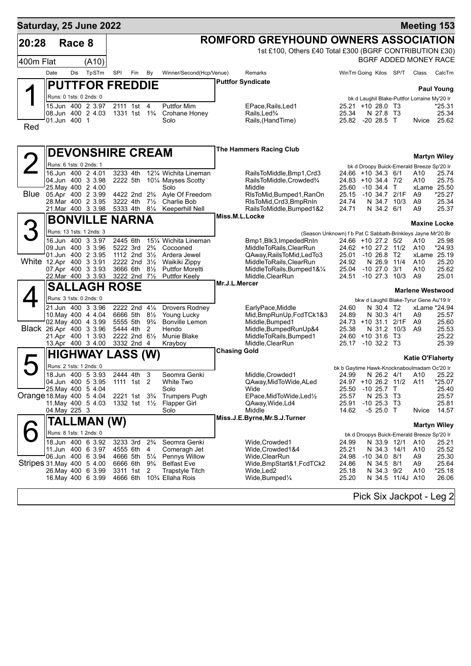| Saturday, 25 June 2022     |               |        |                                               |                      |                                                    |                     |                                                               |                                                                                         |                                             |                                   |                                 |                  |                                                  | <b>Meeting 153</b>       |
|----------------------------|---------------|--------|-----------------------------------------------|----------------------|----------------------------------------------------|---------------------|---------------------------------------------------------------|-----------------------------------------------------------------------------------------|---------------------------------------------|-----------------------------------|---------------------------------|------------------|--------------------------------------------------|--------------------------|
| 20:28                      |               | Race 8 |                                               |                      |                                                    |                     |                                                               | <b>ROMFORD GREYHOUND OWNERS ASSOCIATION</b>                                             |                                             |                                   |                                 |                  |                                                  |                          |
|                            |               |        |                                               |                      |                                                    |                     |                                                               | 1st £100, Others £40 Total £300 (BGRF CONTRIBUTION £30)                                 |                                             |                                   |                                 |                  |                                                  |                          |
| 400m Flat                  |               |        | (A10)                                         |                      |                                                    |                     |                                                               |                                                                                         |                                             |                                   |                                 |                  |                                                  | BGRF ADDED MONEY RACE    |
|                            | Date          | Dis    | TpSTm                                         | SPI                  | Fin                                                | By                  | Winner/Second(Hcp/Venue)                                      | Remarks                                                                                 |                                             | WinTm Going Kilos SP/T            |                                 |                  | Class                                            | CalcTm                   |
|                            |               |        | <b>PUTTFOR FREDDIE</b>                        |                      |                                                    |                     |                                                               | <b>Puttfor Syndicate</b>                                                                |                                             |                                   |                                 |                  |                                                  | <b>Paul Young</b>        |
|                            |               |        | Runs: 0 1sts: 0 2nds: 0                       |                      |                                                    |                     |                                                               |                                                                                         |                                             |                                   |                                 |                  | bk d Laughil Blake-Puttfor Lorraine My'20 Ir     |                          |
|                            |               |        | 15.Jun 400 2 3.97                             |                      | 2111 1st 4                                         |                     | <b>Puttfor Mim</b>                                            | EPace, Rails, Led1                                                                      |                                             | 25.21 +10 28.0 T3                 |                                 |                  |                                                  | *25.31                   |
|                            | 01.Jun 400 1  |        | 08.Jun 400 2 4.03                             |                      | 1331 1st 1 <sup>3</sup> / <sub>4</sub>             |                     | Crohane Honey<br>Solo                                         | Rails, Led <sup>3</sup> / <sub>4</sub><br>Rails, (HandTime)                             | 25.34                                       | 25.82 -20 28.5 T                  | N 27.8 T3                       |                  | Nvice                                            | 25.34<br>25.62           |
| Red                        |               |        |                                               |                      |                                                    |                     |                                                               |                                                                                         |                                             |                                   |                                 |                  |                                                  |                          |
|                            |               |        |                                               |                      |                                                    |                     |                                                               |                                                                                         |                                             |                                   |                                 |                  |                                                  |                          |
|                            |               |        | <b>DEVONSHIRE CREAM</b>                       |                      |                                                    |                     |                                                               | <b>The Hammers Racing Club</b>                                                          |                                             |                                   |                                 |                  |                                                  |                          |
| $\overline{2}$             |               |        | Runs: 6 1sts: 0 2nds: 1                       |                      |                                                    |                     |                                                               |                                                                                         |                                             |                                   |                                 |                  |                                                  | <b>Martyn Wiley</b>      |
|                            |               |        | 16.Jun 400 2 4.01                             | 3233 4th             |                                                    |                     | 121/4 Wichita Lineman                                         | RailsToMiddle,Bmp1,Crd3                                                                 |                                             | 24.66 +10 34.3 6/1                |                                 |                  | bk d Droopy Buick-Emerald Breeze Sp'20 Ir<br>A10 | 25.74                    |
|                            |               |        | 04.Jun 400 3 3.98<br>25. May 400 2 4.00       | 2222 5th             |                                                    |                     | 101⁄4 Mayses Scotty                                           | RailsToMiddle, Crowded%<br>Middle                                                       |                                             | 24.83 +10 34.4 7/2                |                                 |                  | A10                                              | 25.75<br>xLame 25.50     |
| Blue                       |               |        | 05.Apr 400 2 3.99                             |                      | 4422 2nd 2 <sup>3</sup> / <sub>4</sub>             |                     | Solo<br>Ayle Of Freedom                                       | RIsToMid, Bumped 1, RanOn                                                               | 25.60<br>25.15                              | $-10,34.4$ T<br>$-10$ 34.7 $2/1F$ |                                 |                  | A9                                               | $*25.27$                 |
|                            |               |        | 28. Mar 400 2 3.95<br>21. Mar 400 3 3.98      | 3222 4th             | 5333 4th 81/4                                      | $7\frac{1}{2}$      | Charlie Bob                                                   | RIsToMid, Crd3, BmpRnIn                                                                 | 24.74                                       |                                   |                                 | N 34.7 10/3      | A9                                               | 25.34<br>25.37           |
|                            |               |        |                                               |                      |                                                    |                     | Keeperhill Nell                                               | RailsToMiddle, Bumped1&2<br>Miss.M.L.Locke                                              | 24.71                                       |                                   | N 34.2 6/1                      |                  | A9                                               |                          |
|                            |               |        | <b>BONVILLE NARNA</b>                         |                      |                                                    |                     |                                                               |                                                                                         |                                             |                                   |                                 |                  |                                                  | <b>Maxine Locke</b>      |
|                            |               |        | Runs: 13 1sts: 1 2nds: 3<br>16.Jun 400 3 3.97 | 2445 6th             |                                                    |                     | 151⁄4 Wichita Lineman                                         | (Season Unknown) f b Pat C Sabbath-Brinkleys Jayne Mr'20 Br<br>Bmp1, Blk3, Impeded RnIn |                                             | 24.66 +10 27.2 5/2                |                                 |                  | A10                                              | 25.98                    |
|                            |               |        | 09.Jun 400 3 3.96                             |                      | 5222 3rd                                           | $2\frac{3}{4}$      | Cocooned                                                      | MiddleToRails, ClearRun                                                                 |                                             | 24.62 +10 27.2 11/2               |                                 |                  | A10                                              | *24.93                   |
| White 12.Apr 400 3 3.91    |               |        | 01.Jun 400 2 3.95                             |                      | 1112 2nd $3\frac{1}{2}$<br>2222 2nd $3\frac{1}{2}$ |                     | Ardera Jewel<br>Waikiki Zippy                                 | QAway, Rails To Mid, Led To 3<br>MiddleToRails, ClearRun                                | 24.92                                       | 25.01 -10 26.8 T2                 | N 26.9                          | 11/4             | A10                                              | xLame 25.19<br>25.20     |
|                            |               |        | 07.Apr 400 3 3.93                             |                      | 3666 6th                                           | $8\frac{1}{2}$      | <b>Puttfor Moretti</b>                                        | MiddleToRails, Bumped1&1/4                                                              | 25.04                                       | $-10, 27.0$                       |                                 | 3/1              | A10                                              | 25.62                    |
|                            |               |        | 22.Mar 400 3 3.93                             |                      | 3222 2nd 71/2                                      |                     | <b>Puttfor Keely</b>                                          | Middle, ClearRun<br>Mr.J.L.Mercer                                                       | 24.51                                       | $-1027.3$                         |                                 | 10/3             | A9                                               | 25.01                    |
|                            |               |        | <b>SALLAGH ROSE</b>                           |                      |                                                    |                     |                                                               |                                                                                         |                                             |                                   |                                 |                  | <b>Marlene Westwood</b>                          |                          |
|                            |               |        | Runs: 3 1sts: 0 2nds: 0                       |                      |                                                    |                     |                                                               |                                                                                         |                                             |                                   |                                 |                  | bkw d Laughil Blake-Tyrur Gene Au'19 Ir          |                          |
|                            |               |        | 21.Jun 400 3 3.96<br>10. May 400 4 4.04       |                      | 2222 2nd 41/4<br>6666 5th 81/2                     |                     | Drovers Rodney<br>Young Lucky                                 | EarlyPace, Middle<br>Mid, BmpRunUp, FcdTCk1&3                                           | 24.60<br>24.89                              |                                   | N 30.4 T2<br>N 30.3 4/1         |                  | A9                                               | xLame *24.94<br>25.57    |
| Black 26.Apr 400 3 3.96    |               |        | 02. May 400 4 3.99                            |                      | 5555 5th<br>5444 4th                               | $9\frac{3}{4}$<br>2 | <b>Bonville Lemon</b><br>Hendo                                | Middle, Bumped1                                                                         | 24.73 +10 31.1 2/1F<br>25.38                |                                   |                                 |                  | A9<br>A9                                         | 25.60                    |
|                            |               |        | 21.Apr 400 1 3.93                             |                      | 2222 2nd 6 <sup>1/2</sup>                          |                     | Munie Blake                                                   | Middle, BumpedRunUp&4<br>MiddleToRails, Bumped1                                         |                                             | 24.60 +10 31.6 T3                 |                                 | N 31.2 10/3      |                                                  | 25.53<br>25.22           |
|                            |               |        | 13.Apr 400 3 4.00                             |                      | 3332 2nd 4                                         |                     | Krayboy                                                       | Middle, ClearRun                                                                        |                                             | 25.17 -10 32.2 T3                 |                                 |                  |                                                  | 25.39                    |
|                            |               |        | <b>HIGHWAY LASS (W)</b>                       |                      |                                                    |                     |                                                               | <b>Chasing Gold</b>                                                                     |                                             |                                   |                                 |                  | <b>Katie O'Flaherty</b>                          |                          |
|                            |               |        | Runs: 2 1sts: 1 2nds: 0                       |                      |                                                    |                     |                                                               |                                                                                         | bk b Gaytime Hawk-Knocknaboulmadam Oc'20 Ir |                                   |                                 |                  |                                                  |                          |
|                            |               |        | 18.Jun 400 5 3.93<br>04.Jun 400 5 3.95        | 2444 4th             | 1111 1st 2                                         |                     | Seomra Genki<br>White Two                                     | Middle, Crowded1<br>QAway, MidToWide, ALed                                              | 24.99                                       | 24.97 +10 26.2 11/2               |                                 |                  | N 26.2 4/1 A10 25.22<br>A11                      | $*25.07$                 |
|                            |               |        | 25. May 400 5 4.04                            |                      |                                                    |                     | Solo                                                          | Wide                                                                                    | 25.50                                       | $-10$ 25.7 T                      |                                 |                  |                                                  | 25.40                    |
| Orange 18. May 400 5 4.04  |               |        | 11 May 400 5 4.03                             | 1332 1st 1½          | 2221 1st                                           | $3\frac{3}{4}$      | <b>Trumpers Pugh</b><br><b>Flapper Girl</b>                   | EPace, MidToWide, Led1/2<br>QAway, Wide, Ld4                                            | 25.57<br>25.91                              | $-10$ 25.3 T3                     | N 25.3 T3                       |                  |                                                  | 25.57<br>25.81           |
|                            | 04. May 225 3 |        |                                               |                      |                                                    |                     | Solo                                                          | Middle                                                                                  | 14.62                                       |                                   | $-525.0$ T                      |                  | Nvice                                            | 14.57                    |
|                            |               |        | TALLMAN (W)                                   |                      |                                                    |                     |                                                               | Miss.J.E.Byrne, Mr.S.J.Turner                                                           |                                             |                                   |                                 |                  |                                                  | <b>Martyn Wiley</b>      |
|                            |               |        | Runs: 8 1sts: 1 2nds: 0                       |                      |                                                    |                     |                                                               |                                                                                         |                                             |                                   |                                 |                  | bk d Droopys Buick-Emerald Breeze Sp'20 Ir       |                          |
|                            |               |        | 18.Jun 400 6 3.92                             | 3233 3rd             |                                                    | $2\frac{3}{4}$      | Seomra Genki                                                  | Wide, Crowded1                                                                          | 24.99                                       |                                   |                                 | N 33.9 12/1      | A10                                              | 25.21                    |
|                            |               |        | 11.Jun 400 6 3.97<br>06.Jun 400 6 3.94        | 4555 6th<br>4666 5th |                                                    | 4<br>$5\frac{1}{4}$ | Comeragh Jet<br><b>Pennys Willow</b>                          | Wide,Crowded1&4<br>Wide,ClearRun                                                        | 25.21<br>24.98                              |                                   | N 34.3 14/1<br>$-10$ 34.0 $8/1$ |                  | A10<br>A9                                        | 25.52<br>25.30           |
| Stripes 31. May 400 5 4.00 |               |        |                                               | 6666 6th             |                                                    | $9\frac{3}{4}$      | <b>Belfast Eve</b>                                            | Wide, BmpStart&1, FcdTCk2                                                               | 24.86                                       |                                   | N 34.5 8/1                      |                  | A9                                               | 25.64                    |
|                            |               |        | 26. May 400 6 3.99<br>16. May 400 6 3.99      | 4666 6th             | 3311 1st                                           | 2                   | Trapstyle Titch<br>10 <sup>3</sup> / <sub>4</sub> Ellaha Rois | Wide,Led2<br>Wide, Bumped <sup>1</sup> / <sub>4</sub>                                   | 25.18<br>25.20                              |                                   | N 34.3 9/2                      | N 34.5 11/4J A10 | A10                                              | $*25.18$<br>26.06        |
|                            |               |        |                                               |                      |                                                    |                     |                                                               |                                                                                         |                                             |                                   |                                 |                  |                                                  |                          |
|                            |               |        |                                               |                      |                                                    |                     |                                                               |                                                                                         |                                             |                                   |                                 |                  |                                                  | Pick Six Jackpot - Leg 2 |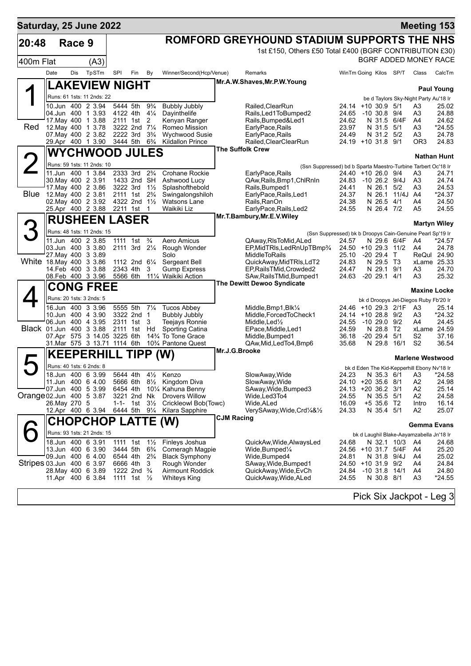| Saturday, 25 June 2022    |                    |        |                                         |                      |                                        |                                  |                                                  |                   |                                                                                   |                                          |                                |          | <b>Meeting 153</b>                          |                     |
|---------------------------|--------------------|--------|-----------------------------------------|----------------------|----------------------------------------|----------------------------------|--------------------------------------------------|-------------------|-----------------------------------------------------------------------------------|------------------------------------------|--------------------------------|----------|---------------------------------------------|---------------------|
| 20:48                     |                    | Race 9 |                                         |                      |                                        |                                  |                                                  |                   | ROMFORD GREYHOUND STADIUM SUPPORTS THE NHS                                        |                                          |                                |          |                                             |                     |
|                           |                    |        |                                         |                      |                                        |                                  |                                                  |                   | 1st £150, Others £50 Total £400 (BGRF CONTRIBUTION £30)                           |                                          |                                |          |                                             |                     |
| 400m Flat                 |                    |        | (A3)                                    |                      |                                        |                                  |                                                  |                   |                                                                                   |                                          |                                |          | BGRF ADDED MONEY RACE                       |                     |
|                           | Date               | Dis    | TpSTm                                   | SPI                  | Fin                                    | By                               | Winner/Second(Hcp/Venue)                         |                   | Remarks                                                                           | WinTm Going Kilos SP/T                   |                                |          | Class                                       | CalcTm              |
|                           |                    |        | <b>LAKEVIEW NIGHT</b>                   |                      |                                        |                                  |                                                  |                   | Mr.A.W.Shaves, Mr.P.W.Young                                                       |                                          |                                |          |                                             | <b>Paul Young</b>   |
|                           |                    |        | Runs: 61 1sts: 11 2nds: 22              |                      |                                        |                                  |                                                  |                   |                                                                                   |                                          |                                |          | be d Taylors Sky-Night Party Au'18 Ir       |                     |
|                           |                    |        | 10.Jun 400 2 3.94                       | 5444 5th             |                                        | $9\frac{3}{4}$                   | <b>Bubbly Jubbly</b>                             |                   | Railed, Clear Run                                                                 | 24.14 +10 30.9 5/1                       |                                |          | A3                                          | 25.02               |
|                           |                    |        | 04.Jun 400 1 3.93<br>17 May 400 1 3.88  | 4122 4th             | 2111 1st 2                             | $4\frac{1}{4}$                   | Dayinthelife<br>Kenyan Ranger                    |                   | Rails, Led1ToBumped2<br>Rails, Bumped&Led1                                        | 24.65 -10 30.8 9/4<br>24.62              | N 31.5 6/4F                    |          | A3<br>A4                                    | 24.88<br>24.62      |
| Red                       | 12. May 400 1 3.78 |        |                                         |                      | 3222 2nd 7 <sup>1</sup> / <sub>4</sub> |                                  | Romeo Mission                                    |                   | EarlyPace, Rails                                                                  | 23.97                                    | N 31.5                         | 5/1      | A3                                          | *24.55              |
|                           |                    |        | 07. May 400 2 3.82<br>29.Apr 400 1 3.90 | 2222 3rd<br>3444 5th |                                        | $3\frac{3}{4}$<br>$6\frac{3}{4}$ | <b>Wychwood Susie</b><br><b>Kildallon Prince</b> |                   | EarlyPace, Rails<br>Railed, ClearClearRun                                         | 24.49<br>24.19 +10 31.8 9/1              | N 31.2 5/2                     |          | A3<br>OR3                                   | 24.78<br>24.83      |
|                           |                    |        | <b>WYCHWOOD JULES</b>                   |                      |                                        |                                  |                                                  |                   | The Suffolk Crew                                                                  |                                          |                                |          |                                             |                     |
|                           |                    |        | Runs: 59 1sts: 11 2nds: 10              |                      |                                        |                                  |                                                  |                   |                                                                                   |                                          |                                |          |                                             | <b>Nathan Hunt</b>  |
|                           |                    |        | 11.Jun 400 1 3.84                       | 2333 3rd             |                                        | $2\frac{3}{4}$                   | <b>Crohane Rockie</b>                            |                   | (Ssn Suppressed) bd b Sparta Maestro-Turbine Tarbert Oc'18 Ir<br>EarlyPace, Rails | 24.40 +10 26.0 9/4                       |                                |          | A3                                          | 24.71               |
|                           | 30. May 400 2 3.91 |        |                                         |                      | 1433 2nd SH                            |                                  | Ashwood Lucy                                     |                   | QAw, Rails, Bmp1, ChlRnIn                                                         | 24.83 -10 26.2 9/4J                      |                                |          | A3                                          | 24.74               |
| <b>Blue</b>               | 12. May 400 2 3.81 |        | 17. May 400 2 3.86                      | 3222 3rd             | 2111 1st 2 <sup>3</sup> / <sub>4</sub> | $1\frac{1}{2}$                   | Splashofthebold<br>Swingalongshiloh              |                   | Rails, Bumped1<br>EarlyPace, Rails, Led1                                          | 24.41<br>24.37                           | N 26.1 5/2<br>N 26.1           | 11/4J A4 | A3                                          | 24.53<br>*24.37     |
|                           |                    |        | 02. May 400 2 3.92                      |                      | 4322 2nd 11/2                          |                                  | <b>Watsons Lane</b>                              |                   | Rails, RanOn                                                                      | 24.38                                    | N 26.5 4/1                     |          | A4                                          | 24.50               |
|                           |                    |        | 25.Apr 400 2 3.88                       | 2211 1st             |                                        | 1                                | Waikiki Liz                                      |                   | EarlyPace, Rails, Led2                                                            | 24.55                                    | N 26.4 7/2                     |          | A5                                          | 24.55               |
|                           |                    |        | <b>RUSHEEN LASER</b>                    |                      |                                        |                                  |                                                  |                   | Mr.T.Bambury, Mr.E.V. Wiley                                                       |                                          |                                |          |                                             | <b>Martyn Wiley</b> |
|                           |                    |        | Runs: 48 1sts: 11 2nds: 15              |                      |                                        |                                  |                                                  |                   | (Ssn Suppressed) bk b Droopys Cain-Genuine Pearl Sp'19 Ir                         |                                          |                                |          |                                             |                     |
|                           |                    |        | 11.Jun 400 2 3.85                       | 1111 1st             |                                        | $\frac{3}{4}$                    | Aero Amicus                                      |                   | QAway, RIs To Mid, ALed                                                           | 24.57                                    | N 29.6 6/4F                    |          | A4                                          | *24.57              |
|                           | 27. May 400 3 3.89 |        | 03.Jun 400 3 3.80                       |                      | 2111 3rd 21/4                          |                                  | Rough Wonder<br>Solo                             |                   | EP.MidTRIs, LedRnUpTBmp3/4<br><b>MiddleToRails</b>                                | 24.50 +10 29.3 11/2<br>25.10             | $-20, 29.4$                    | $\top$   | A4<br>ReQul 24.90                           | 24.78               |
| White 18 May 400 3 3.86   |                    |        |                                         |                      | 1112 2nd 61/4                          |                                  | Sergeant Bell                                    |                   | QuickAway, MidTRIs, LdT2                                                          | 24.83                                    | N 29.5 T3                      |          | xLame 25.33                                 |                     |
|                           | 14.Feb 400 3 3.88  |        | 08.Feb 400 3 3.96                       | 2343 4th<br>5566 6th |                                        | 3                                | <b>Gump Express</b><br>111⁄4 Waikiki Action      |                   | EP, Rails TMid, Crowded2<br>SAw, Rails TMid, Bumped 1                             | 24.47<br>24.63                           | N 29.1 9/1<br>$-20$ 29.1 $4/1$ |          | A3<br>A3                                    | 24.70<br>25.32      |
|                           |                    |        | <b>CONG FREE</b>                        |                      |                                        |                                  |                                                  |                   | The Dewitt Dewoo Syndicate                                                        |                                          |                                |          |                                             |                     |
|                           |                    |        | Runs: 20 1sts: 3 2nds: 5                |                      |                                        |                                  |                                                  |                   |                                                                                   |                                          |                                |          | <b>Maxine Locke</b>                         |                     |
|                           |                    |        | 16.Jun 400 3 3.96                       | 5555 5th             |                                        | $7\frac{1}{4}$                   | <b>Tucos Abbey</b>                               |                   | Middle, $Bmp1,Blk\frac{1}{4}$                                                     | 24.46 +10 29.3 2/1F                      |                                |          | bk d Droopys Jet-Diegos Ruby Fb'20 Ir<br>A3 | 25.14               |
|                           |                    |        | 10.Jun 400 4 3.90                       | 3322 2nd             |                                        | $\mathbf 1$                      | <b>Bubbly Jubbly</b>                             |                   | Middle, Forced To Check1                                                          | 24.14 +10 28.8 9/2                       |                                |          | A3                                          | *24.32              |
|                           | 06.Jun 400 4 3.95  |        |                                         | 2311 1st             |                                        | 3                                | Teejays Ronnie                                   |                   | Middle, Led <sup>1</sup> / <sub>2</sub>                                           | 24.55                                    | -10 29.0 9/2                   |          | A4                                          | 24.45               |
| Black 01.Jun 400 3 3.88   |                    |        | 07.Apr 575 3 14.05 3225 6th             | 2111 1st             |                                        | Hd                               | Sporting Catina<br>14% To Tone Grace             |                   | EPace, Middle, Led1<br>Middle, Bumped1                                            | 24.59<br>36.18                           | N 28.8 T2<br>$-2029.4$         | 5/1      | xLame 24.59<br>S <sub>2</sub>               | 37.16               |
|                           |                    |        | 31.Mar 575 3 13.71 1114 6th             |                      |                                        |                                  | 10% Pantone Quest                                |                   | QAw, Mid, Led To 4, Bmp6                                                          | 35.68                                    | N 29.8                         | 16/1     | S <sub>2</sub>                              | 36.54               |
|                           |                    |        | <b>KEEPERHILL</b>                       |                      | TIPP (W)                               |                                  |                                                  | Mr.J.G.Brooke     |                                                                                   |                                          |                                |          | <b>Marlene Westwood</b>                     |                     |
|                           |                    |        | Runs: 40 1sts: 6 2nds: 8                |                      |                                        |                                  |                                                  |                   |                                                                                   |                                          |                                |          | bk d Eden The Kid-Kepperhill Ebony Nv'18 Ir |                     |
|                           |                    |        | 18.Jun 400 6 3.99                       |                      | 5644 4th 41/2                          |                                  | Kenzo                                            |                   | SlowAway, Wide                                                                    | 24.23                                    | N 35.3 6/1                     |          | A3                                          | 24.58               |
|                           | 07.Jun 400 5 3.99  |        | 11.Jun 400 6 4.00                       | 5666 6th<br>6454 4th |                                        |                                  | 8½ Kingdom Diva<br>101/4 Kahuna Benny            |                   | SlowAway, Wide<br>SAway, Wide, Bumped3                                            | 24.10 +20 35.6 8/1<br>24.13 +20 36.2 3/1 |                                |          | A2<br>A2                                    | 24.98<br>25.14      |
| Orange 02.Jun 400 5 3.87  |                    |        |                                         |                      | 3221 2nd Nk                            |                                  | <b>Drovers Willow</b>                            |                   | Wide,Led3To4                                                                      | 24.55                                    | N 35.5 5/1                     |          | A2                                          | 24.58               |
|                           | 26. May 270 5      |        |                                         | $1 - 1 -$            | 1st                                    | $3\frac{1}{2}$                   | Crickleowl Bob(Towc)                             |                   | Wide,ALed                                                                         | 16.09<br>24.33                           | +5 35.6 T2<br>N 35.4 5/1       |          | Intro<br>A2                                 | 16.14<br>25.07      |
|                           |                    |        | 12.Apr 400 6 3.94 6444 5th 91/4         |                      |                                        |                                  | Kilara Sapphire                                  | <b>CJM Racing</b> | VerySAway, Wide, Crd <sup>1</sup> / <sub>4</sub> & <sup>1</sup> / <sub>2</sub>    |                                          |                                |          |                                             |                     |
|                           |                    |        | <b>CHOPCHOP LATTE (W)</b>               |                      |                                        |                                  |                                                  |                   |                                                                                   |                                          |                                |          | Gemma Evans                                 |                     |
|                           |                    |        | Runs: 93 1sts: 21 2nds: 15              |                      |                                        |                                  |                                                  |                   |                                                                                   |                                          |                                |          | bk d Laughil Blake-Aayamzabella Jn'18 Ir    |                     |
|                           |                    |        | 18.Jun 400 6 3.91<br>13.Jun 400 6 3.90  | 1111 1st<br>3444 5th |                                        | $1\frac{1}{2}$<br>$6\frac{3}{4}$ | Finleys Joshua<br>Comeragh Magpie                |                   | QuickAw, Wide, AlwaysLed<br>Wide, Bumped $\frac{1}{4}$                            | 24.68<br>24.56 +10 31.7 5/4F             | N 32.1 10/3                    |          | A4<br>A4                                    | 24.68<br>25.20      |
|                           |                    |        | 09.Jun 400 6 4.00                       | 6544 4th             |                                        | $2\frac{3}{4}$                   | <b>Black Symphony</b>                            |                   | Wide,Bumped4                                                                      | 24.81                                    | N 31.8 9/4J                    |          | A4                                          | 25.02               |
| Stripes 03.Jun 400 6 3.97 |                    |        |                                         | 6666 4th             | 1222 2nd <sup>3</sup> / <sub>4</sub>   | 3                                | Rough Wonder<br><b>Airmount Roddick</b>          |                   | SAway, Wide, Bumped1                                                              | 24.50 +10 31.9 9/2                       | -10 31.8 14/1                  |          | A4                                          | 24.84<br>24.80      |
|                           |                    |        | 28. May 400 6 3.89<br>11.Apr 400 6 3.84 |                      | 1111 1st $\frac{1}{2}$                 |                                  | <b>Whiteys King</b>                              |                   | QuickAway, Wide, EvCh<br>QuickAway, Wide, ALed                                    | 24.84<br>24.55                           | N 30.8 8/1                     |          | A4<br>A3                                    | $*24.55$            |
|                           |                    |        |                                         |                      |                                        |                                  |                                                  |                   |                                                                                   |                                          |                                |          |                                             |                     |
|                           |                    |        |                                         |                      |                                        |                                  |                                                  |                   |                                                                                   |                                          |                                |          | Pick Six Jackpot - Leg 3                    |                     |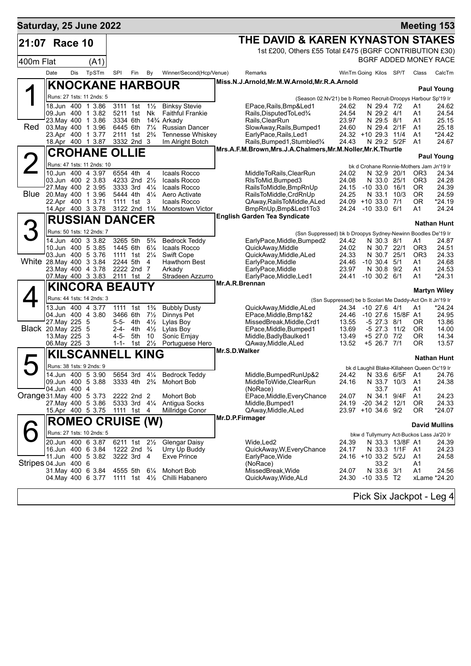| Saturday, 25 June 2022    |                                      |     |                                                |                       |                                |                                  |                                                                     |                                                              |                                                                        |                                |                   | <b>Meeting 153</b>                          |                          |
|---------------------------|--------------------------------------|-----|------------------------------------------------|-----------------------|--------------------------------|----------------------------------|---------------------------------------------------------------------|--------------------------------------------------------------|------------------------------------------------------------------------|--------------------------------|-------------------|---------------------------------------------|--------------------------|
| 21:07                     | Race 10                              |     |                                                |                       |                                |                                  |                                                                     | THE DAVID & KAREN KYNASTON STAKES                            |                                                                        |                                |                   |                                             |                          |
|                           |                                      |     |                                                |                       |                                |                                  |                                                                     | 1st £200, Others £55 Total £475 (BGRF CONTRIBUTION £30)      |                                                                        |                                |                   |                                             |                          |
| 400m Flat                 |                                      |     | (A1)                                           |                       |                                |                                  |                                                                     |                                                              |                                                                        |                                |                   | BGRF ADDED MONEY RACE                       |                          |
|                           | Date                                 | Dis | TpSTm                                          | SPI                   | Fin                            | By                               | Winner/Second(Hcp/Venue)                                            | Remarks                                                      |                                                                        | WinTm Going Kilos SP/T         |                   | Class                                       | CalcTm                   |
|                           |                                      |     | <b>KNOCKANE HARBOUR</b>                        |                       |                                |                                  |                                                                     | Miss.N.J.Arnold,Mr.M.W.Arnold,Mr.R.A.Arnold                  |                                                                        |                                |                   |                                             |                          |
|                           |                                      |     | Runs: 27 1sts: 11 2nds: 5                      |                       |                                |                                  |                                                                     |                                                              |                                                                        |                                |                   |                                             | <b>Paul Young</b>        |
|                           |                                      |     | 18.Jun 400 1 3.86                              | 3111 1st              |                                | $1\frac{1}{2}$                   | <b>Binksy Stevie</b>                                                | EPace, Rails, Bmp& Led 1                                     | (Season 02.Nv'21) be b Romeo Recruit-Droopys Harbour Sp'19 Ir<br>24.62 | N 29.4 7/2                     |                   | A1                                          | 24.62                    |
|                           |                                      |     | 09.Jun 400 1 3.82                              |                       | 5211 1st                       | Nk                               | <b>Faithful Frankie</b>                                             | Rails, Disputed To Led <sup>3</sup> /4                       | 24.54                                                                  | N 29.2 4/1                     |                   | A1                                          | 24.54                    |
| Red                       | 03. May 400 1 3.96                   |     | 23. May 400 1 3.86                             | 3334 6th<br>6445 6th  |                                |                                  | 14 <sup>3</sup> / <sub>4</sub> Arkady                               | Rails, ClearRun<br>SlowAway, Rails, Bumped1                  | 23.97                                                                  | N 29.5 8/1<br>N 29.4 2/1F      |                   | A1<br>A <sub>1</sub>                        | 25.15                    |
|                           | 23.Apr 400 1 3.77                    |     |                                                | 2111 1st              |                                | $7\frac{1}{4}$<br>$2\frac{3}{4}$ | <b>Russian Dancer</b><br>Tennesse Whiskey                           | EarlyPace, Rails, Led1                                       | 24.60                                                                  | 24.32 +10 29.3 11/4            |                   | A <sub>1</sub>                              | 25.18<br>$*24.42$        |
|                           |                                      |     | 18.Apr 400 1 3.87                              |                       | 3332 2nd 3                     |                                  | Im Alright Botch                                                    | Rails, Bumped 1, Stumbled 3/4                                | 24.43                                                                  | N 29.2 5/2F                    |                   | A <sub>1</sub>                              | 24.67                    |
|                           |                                      |     | <b>CROHANE</b>                                 | <b>OLLIE</b>          |                                |                                  |                                                                     | Mrs.A.F.M.Brown, Mrs.J.A.Chalmers, Mr.M.Noller, Mr.K.Thurtle |                                                                        |                                |                   |                                             | <b>Paul Young</b>        |
|                           |                                      |     | Runs: 47 1sts: 11 2nds: 10                     |                       |                                |                                  |                                                                     |                                                              |                                                                        |                                |                   | bk d Crohane Ronnie-Mothers Jam Jn'19 Ir    |                          |
|                           |                                      |     | 10.Jun 400 4 3.97                              |                       | 6554 4th                       | $\overline{4}$                   | Icaals Rocco                                                        | MiddleToRails, ClearRun                                      | 24.02                                                                  | N 32.9                         | 20/1              | OR <sub>3</sub>                             | 24.34                    |
|                           | 27 May 400 2 3.95                    |     | 03.Jun 400 2 3.83                              |                       | 4233 2nd 21/2<br>3333 3rd 41/4 |                                  | Icaals Rocco<br>Icaals Rocco                                        | RIsToMid, Bumped 3<br>RailsToMiddle, BmpRnUp                 | 24.08<br>24.15                                                         | N 33.0<br>$-10$ 33.0 $16/1$    | 25/1              | OR <sub>3</sub><br>0R                       | 24.28<br>24.39           |
| Blue                      | 20. May 400 1 3.96                   |     |                                                |                       | 5444 4th                       | $4\frac{1}{4}$                   | Aero Activate                                                       | RailsToMiddle, CrdRnUp                                       | 24.25                                                                  | N 33.1                         | 10/3              | <b>OR</b>                                   | 24.59                    |
|                           | 22.Apr 400 1 3.71                    |     |                                                |                       | 1111 1st                       | 3                                | Icaals Rocco                                                        | QAway, Rails To Middle, ALed                                 |                                                                        | 24.09 +10 33.0 7/1             |                   | 0R                                          | *24.19                   |
|                           |                                      |     | 14.Apr 400 3 3.78                              |                       | 3122 2nd 11/4                  |                                  | <b>Moorstown Victor</b>                                             | BmpRnUp, Bmp&Led1To3<br><b>English Garden Tea Syndicate</b>  | 24.24                                                                  | $-10$ 33.0 $6/1$               |                   | A1                                          | 24.24                    |
|                           |                                      |     | <b>RUSSIAN DANCER</b>                          |                       |                                |                                  |                                                                     |                                                              |                                                                        |                                |                   |                                             | <b>Nathan Hunt</b>       |
|                           |                                      |     | Runs: 50 1sts: 12 2nds: 7                      |                       |                                |                                  |                                                                     |                                                              | (Ssn Suppressed) bk b Droopys Sydney-Newinn Boodles De'19 Ir           |                                |                   |                                             |                          |
|                           |                                      |     | 14.Jun 400 3 3.82                              | 3265 5th              |                                | $5\frac{3}{4}$                   | <b>Bedrock Teddy</b>                                                | EarlyPace, Middle, Bumped2                                   | 24.42                                                                  | N 30.3 8/1                     |                   | A1                                          | 24.87                    |
|                           |                                      |     | 10.Jun 400 5 3.85<br>03.Jun 400 5 3.76         | 1445 6th              | 1111 1st 21/4                  | $6\frac{1}{4}$                   | Icaals Rocco<br><b>Swift Cope</b>                                   | QuickAway, Middle<br>QuickAway,Middle,ALed                   | 24.02<br>24.33                                                         | N 30.7 22/1<br>N 30.7 25/1     |                   | OR <sub>3</sub><br>OR <sub>3</sub>          | 24.51<br>24.33           |
| White 28. May 400 3 3.84  |                                      |     |                                                | 2244 5th              |                                | 4                                | <b>Hawthorn Best</b>                                                | EarlyPace, Middle                                            | 24.46                                                                  | $-10$ 30.4 $5/1$               |                   | A1                                          | 24.68                    |
|                           |                                      |     | 23. May 400 4 3.78<br>07. May 400 3 3.83       |                       | 2222 2nd 7<br>2111 1st 2       |                                  | Arkady<br>Stradeen Azzurro                                          | EarlyPace, Middle<br>EarlyPace, Middle, Led1                 | 23.97<br>24.41                                                         | N 30.8 9/2<br>$-10$ 30.2 $6/1$ |                   | A1<br>A1                                    | 24.53<br>$*24.31$        |
|                           |                                      |     | <b>KINCORA BEAUTY</b>                          |                       |                                |                                  |                                                                     | Mr.A.R.Brennan                                               |                                                                        |                                |                   |                                             |                          |
|                           |                                      |     |                                                |                       |                                |                                  |                                                                     |                                                              |                                                                        |                                |                   |                                             | <b>Martyn Wiley</b>      |
|                           |                                      |     | Runs: 44 1sts: 14 2nds: 3<br>13.Jun 400 4 3.77 | 1111                  | 1st                            | $1\frac{3}{4}$                   | <b>Bubbly Dusty</b>                                                 | QuickAway, Middle, ALed                                      | (Ssn Suppressed) be b Scolari Me Daddy-Act On It Jn'19 Ir              | 24.34 -10 27.6 4/1             |                   | A1                                          | $*24.24$                 |
|                           |                                      |     | 04.Jun 400 4 3.80                              | 3466 6th              |                                | $7\frac{1}{2}$                   | Dinnys Pet                                                          | EPace, Middle, Bmp1&2                                        | 24.46                                                                  |                                | -10 27.6 15/8F A1 |                                             | 24.95                    |
|                           | 27. May 225                          |     | -5                                             | 5-5- 4th              |                                | $4\frac{1}{2}$                   | Lylas Boy                                                           | MissedBreak, Middle, Crd1                                    | 13.55                                                                  | $-5$ 27.3 $8/1$                |                   | 0R                                          | 13.86                    |
|                           | Black 20. May 225 5<br>13. May 225 3 |     |                                                | 2-4- 4th<br>$4 - 5 -$ | 5th                            | $4\frac{1}{2}$<br>10             | Lylas Boy<br>Sonic Emjay                                            | EPace, Middle, Bumped1<br>Middle, Badly Baulked 1            | 13.69<br>13.49                                                         | $-5$ 27.3<br>+5 27.0 7/2       | 11/2              | 0R<br>0R                                    | 14.00<br>14.34           |
|                           | 06.May 225 3                         |     |                                                |                       | 1-1- 1st $2\frac{1}{2}$        |                                  | Portuguese Hero                                                     | QAway, Middle, ALed                                          | 13.52                                                                  | +5 26.7 7/1                    |                   | 0R                                          | 13.57                    |
|                           |                                      |     | <b>KILSCANNELL KING</b>                        |                       |                                |                                  |                                                                     | Mr.S.D.Walker                                                |                                                                        |                                |                   |                                             | <b>Nathan Hunt</b>       |
|                           |                                      |     | Runs: 38 1sts: 9 2nds: 9                       |                       |                                |                                  |                                                                     |                                                              |                                                                        |                                |                   | bk d Laughil Blake-Killaheen Queen Oc'19 Ir |                          |
|                           |                                      |     | 14.Jun 400 5 3.90                              |                       |                                |                                  | 5654 3rd 41/4 Bedrock Teddy                                         | Middle, BumpedRunUp&2                                        |                                                                        |                                |                   | 24.42 N 33.6 6/5F A1 24.76                  |                          |
|                           |                                      |     |                                                |                       |                                |                                  | 09.Jun 400 5 3.88 3333 4th 2 <sup>3</sup> / <sub>4</sub> Mohort Bob | MiddleToWide,ClearRun                                        | 24.16                                                                  |                                | N 33.7 10/3       | - A1                                        | 24.38                    |
| Orange 31. May 400 5 3.73 | 04.Jun 400 4                         |     |                                                |                       | 2222 2nd 2                     |                                  | Mohort Bob                                                          | (NoRace)<br>EPace, Middle, Every Chance                      | 24.07                                                                  | 33.7<br>N 34.1 9/4F            |                   | A1<br>A1                                    | 24.23                    |
|                           |                                      |     | 27. May 400 5 3.86                             |                       | 5333 3rd $4\frac{1}{4}$        |                                  | Antigua Socks                                                       | Middle, Bumped 1                                             |                                                                        | 24.19 -20 34.2 12/1            |                   | 0R                                          | 24.33                    |
|                           |                                      |     | 15.Apr 400 5 3.75                              | 1111 1st 4            |                                |                                  | Millridge Conor                                                     | QAway, Middle, ALed                                          |                                                                        | 23.97 +10 34.6 9/2             |                   | 0R                                          | *24.07                   |
|                           |                                      |     | <b>ROMEO CRUISE (W)</b>                        |                       |                                |                                  |                                                                     | Mr.D.P.Firmager                                              |                                                                        |                                |                   | <b>David Mullins</b>                        |                          |
|                           |                                      |     | Runs: 27 1sts: 10 2nds: 5                      |                       |                                |                                  |                                                                     |                                                              |                                                                        |                                |                   | bkw d Tullymurry Act-Buckos Lass Ja'20 Ir   |                          |
|                           |                                      |     | 20.Jun 400 6 3.87                              |                       | 6211 1st 21/ <sub>2</sub>      |                                  | Glengar Daisy                                                       | Wide, Led 2                                                  | 24.39                                                                  |                                | N 33.3 13/8F A1   |                                             | 24.39                    |
|                           |                                      |     | 16.Jun 400 6 3.84<br>11.Jun 400 5 3.82         | 3222 3rd 4            | 1222 2nd $\frac{3}{4}$         |                                  | Urry Up Buddy<br><b>Exve Prince</b>                                 | QuickAway, W, Every Chance<br>EarlyPace, Wide                | 24.17                                                                  | 24.16 +10 33.2 5/2J            | N 33.3 1/1F A1    | A1                                          | 24.23<br>24.58           |
| Stripes 04.Jun 400 6      |                                      |     |                                                |                       |                                |                                  |                                                                     | (NoRace)                                                     |                                                                        | 33.2                           |                   | A1                                          |                          |
|                           |                                      |     | 31.May 400 6 3.84 4555 5th                     |                       |                                | $6\frac{1}{4}$                   | <b>Mohort Bob</b>                                                   | MissedBreak, Wide                                            | 24.07                                                                  | N 33.6 3/1                     |                   | A1                                          | 24.56                    |
|                           |                                      |     |                                                |                       |                                |                                  | 04. May 400 6 3.77 1111 1st 41/2 Chilli Habanero                    | QuickAway, Wide, ALd                                         |                                                                        | 24.30 -10 33.5 T2              |                   |                                             | xLame *24.20             |
|                           |                                      |     |                                                |                       |                                |                                  |                                                                     |                                                              |                                                                        |                                |                   |                                             | Pick Six Jackpot - Leg 4 |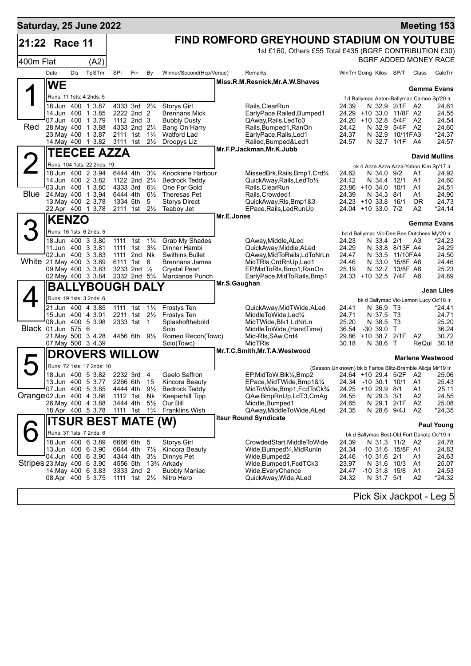| Saturday, 25 June 2022     |                                          |     |                                                  |                                                        |                           |                                  |                                             |              |                                                          |                                                               |          |                      | <b>Meeting 153</b>      |
|----------------------------|------------------------------------------|-----|--------------------------------------------------|--------------------------------------------------------|---------------------------|----------------------------------|---------------------------------------------|--------------|----------------------------------------------------------|---------------------------------------------------------------|----------|----------------------|-------------------------|
| 21:22 Race 11              |                                          |     |                                                  |                                                        |                           |                                  |                                             |              | FIND ROMFORD GREYHOUND STADIUM ON YOUTUBE                |                                                               |          |                      |                         |
|                            |                                          |     |                                                  |                                                        |                           |                                  |                                             |              | 1st £160, Others £55 Total £435 (BGRF CONTRIBUTION £30)  |                                                               |          |                      |                         |
| 400m Flat                  |                                          |     | (A2)                                             |                                                        |                           |                                  |                                             |              |                                                          | BGRF ADDED MONEY RACE                                         |          |                      |                         |
|                            | Date                                     | Dis | TpSTm                                            | SPI                                                    | Fin                       | By                               | Winner/Second(Hcp/Venue)                    |              | Remarks                                                  | WinTm Going Kilos SP/T                                        |          | Class                | CalcTm                  |
|                            | <b>WE</b>                                |     |                                                  |                                                        |                           |                                  |                                             |              | Miss.R.M.Resnick, Mr.A.W.Shaves                          |                                                               |          |                      | Gemma Evans             |
|                            | Runs: 11 1sts: 4 2nds: 5                 |     |                                                  |                                                        |                           |                                  |                                             |              |                                                          | f d Ballymac Anton-Ballymac Cameo Sp'20 Ir                    |          |                      |                         |
|                            |                                          |     | 18.Jun 400 1 3.87                                | 4333 3rd                                               |                           | $2\frac{3}{4}$                   | <b>Storys Girl</b>                          |              | Rails.ClearRun                                           | 24.39<br>N 32.9 2/1F A2                                       |          |                      | 24.61                   |
|                            | 14.Jun 400 1 3.85<br>07.Jun 400 1 3.79   |     |                                                  | 2222 2nd 2<br>1112 2nd 3                               |                           |                                  | <b>Brennans Mick</b><br><b>Bubbly Dusty</b> |              | EarlyPace,Railed,Bumped1<br>QAway, Rails, Led To 3       | 24.29<br>+10 33.0 11/8F A2<br>24.20 +10 32.8                  | 5/4F     | A2                   | 24.55<br>24.54          |
| Red                        | 28. May 400 1 3.88                       |     |                                                  | 4333 2nd 21/4                                          |                           |                                  | Bang On Harry                               |              | Rails, Bumped1, RanOn                                    | 24.42<br>N 32.9 5/4F A2                                       |          |                      | 24.60                   |
|                            | 23. May 400 1 3.87                       |     |                                                  | 2111 1st<br>3111 1st                                   |                           | $1\frac{3}{4}$<br>$2\frac{1}{2}$ | Watford Lad                                 |              | EarlyPace, Rails, Led1                                   | N 32.9 10/11FA3<br>24.37<br>N 32.7 1/1F A4<br>24.57           |          |                      | *24.37<br>24.57         |
|                            |                                          |     | 14. May 400 1 3.82                               |                                                        |                           |                                  | Droopys Liz                                 |              | Railed, Bumped&Led1<br>Mr.F.P.Jackman, Mr.K.Jubb         |                                                               |          |                      |                         |
|                            |                                          |     | <b>TEECEE AZZA</b>                               |                                                        |                           |                                  |                                             |              |                                                          |                                                               |          |                      | <b>David Mullins</b>    |
|                            |                                          |     | Runs: 104 1sts: 22 2nds: 19<br>18.Jun 400 2 3.94 | 6444 4th                                               |                           | $3\frac{3}{4}$                   | Knockane Harbour                            |              | MissedBrk,Rails,Bmp1,Crd¾                                | bk d Azza Azza Azza-Yahoo Kim Sp'17 Ir<br>24.62<br>N 34.0 9/2 |          | A1                   | 24.92                   |
|                            | 14.Jun 400 2 3.82                        |     |                                                  | 1122 2nd 21/4                                          |                           |                                  | <b>Bedrock Teddy</b>                        |              | QuickAway, Rails, LedTo1/2                               | 24.42<br>N 34.4 12/1                                          |          | A1                   | 24.60                   |
| Blue                       | 03.Jun 400 1 3.80                        |     |                                                  | 4333 3rd                                               |                           | $6\frac{3}{4}$                   | One For Gold                                |              | Rails, ClearRun                                          | 23.86 +10 34.0                                                | 10/1     | A1                   | 24.51                   |
|                            | 24. May 400 1 3.94<br>13. May 400 2 3.78 |     |                                                  | 6444 4th<br>1334 5th                                   |                           | $6\frac{1}{2}$<br>5              | Theresas Pet<br><b>Storys Direct</b>        |              | Rails, Crowded1<br>QuickAway, RIs, Bmp1&3                | 24.39<br>N 34.3 8/1<br>$24.23 + 10.33.8$                      | 16/1     | A1<br><b>OR</b>      | 24.90<br>24.73          |
|                            | 22.Apr 400 1 3.78                        |     |                                                  | 2111 1st                                               |                           | $2\frac{1}{2}$                   | Teaboy Jet                                  |              | EPace, Rails, Led Run Up                                 | 24.04 +10 33.0 7/2                                            |          | A2                   | *24.14                  |
|                            | <b>KENZO</b>                             |     |                                                  |                                                        |                           |                                  |                                             | Mr.E.Jones   |                                                          |                                                               |          |                      | <b>Gemma Evans</b>      |
|                            | Runs: 16 1sts: 6 2nds: 5                 |     |                                                  |                                                        |                           |                                  |                                             |              |                                                          | bd d Ballymac Vic-Dee Bee Dutchess My'20 Ir                   |          |                      |                         |
|                            | 18.Jun 400 3 3.80                        |     |                                                  |                                                        | 1111 1st                  | $1\frac{1}{4}$                   | Grab My Shades                              |              | QAway, Middle, ALed                                      | 24.23<br>N 33.4 2/1                                           |          | A3                   | *24.23                  |
|                            | 11.Jun 400 3 3.81<br>02.Jun 400 3 3.83   |     |                                                  | 1111 1st<br>1111 2nd Nk                                |                           | $3\frac{3}{4}$                   | Dinner Hambi<br><b>Swithins Bullet</b>      |              | QuickAway,Middle,ALed<br>QAway,MidToRails,LdToNrLn       | 24.29<br>N 33.8 8/13F A4<br>24.47<br>N 33.5 11/10FA4          |          |                      | 24.29<br>24.50          |
| White 21. May 400 3 3.89   |                                          |     |                                                  | 6111 1st 6                                             |                           |                                  | <b>Brennans James</b>                       |              | MidTRIs, CrdRnUp, Led1                                   | 24.46<br>N 33.0                                               | 15/8F A6 |                      | 24.46                   |
|                            | 09. May 400 3 3.83                       |     | 02. May 400 3 3.84                               | 3233 2nd 1/2<br>2332 2nd 5 <sup>3</sup> / <sub>4</sub> |                           |                                  | Crystal Pearl<br>Marcianos Punch            |              | EP, MidToRIs, Bmp1, RanOn<br>EarlyPace, MidToRails, Bmp1 | 25.19<br>N 32.7 13/8F A6<br>24.33 +10 32.5 7/4F A6            |          |                      | 25.23<br>24.89          |
|                            |                                          |     | <b>BALLYBOUGH DALY</b>                           |                                                        |                           |                                  |                                             | Mr.S.Gaughan |                                                          |                                                               |          |                      |                         |
|                            |                                          |     | Runs: 19 1sts: 3 2nds: 6                         |                                                        |                           |                                  |                                             |              |                                                          | bk d Ballymac Vic-Lemon Lucy Oc'18 Ir                         |          |                      | <b>Jean Liles</b>       |
|                            | 21.Jun 400 4 3.85                        |     |                                                  |                                                        | 1111 1st 11/ <sub>4</sub> |                                  | Frostys Ten                                 |              | QuickAway,MidTWide,ALed                                  | N 36.9 T3<br>24.41                                            |          |                      | *24.41                  |
|                            | 15.Jun 400 4 3.91                        |     |                                                  | 2211 1st 21/ <sub>2</sub>                              |                           |                                  | Frostys Ten                                 |              | MiddleToWide,Led1/4                                      | N 37.5 T3<br>24.71                                            |          |                      | 24.71                   |
| Black 01.Jun 575 6         | 08.Jun 400 5 3.98                        |     |                                                  | 2333 1st 1                                             |                           |                                  | Splashofthebold<br>Solo                     |              | MidTWide, Blk1, LdNrLn<br>MiddleToWide, (HandTime)       | 25.20<br>N 38.5 T3<br>36.54<br>$-30,39.0$                     | т        |                      | 25.20<br>36.24          |
|                            | 21. May 500 3 4.28                       |     |                                                  | 4456 6th 91/2                                          |                           |                                  | Romeo Recon(Towc)                           |              | Mid-RIs, SAw, Crd4                                       | 29.86 +10 38.7 2/1F                                           |          | A2                   | 30.72                   |
|                            | 07 May 500 3 4.39                        |     |                                                  |                                                        |                           |                                  | Solo(Towc)                                  |              | <b>MidTRIS</b><br>Mr.T.C.Smith, Mr.T.A. Westwood         | 30.18<br>N 38.6 T                                             |          | ReQul                | 30.18                   |
|                            |                                          |     | <b>DROVERS WILLOW</b>                            |                                                        |                           |                                  |                                             |              |                                                          |                                                               |          |                      | <b>Marlene Westwood</b> |
|                            |                                          |     | Runs: 72 1sts: 17 2nds: 10                       |                                                        |                           |                                  |                                             |              |                                                          | (Season Unknown) bk b Farloe Blitz-Bramble Alicja Mr'19 Ir    |          |                      |                         |
|                            | 18.Jun 400 5 3.82<br>13.Jun 400 5 3.77   |     |                                                  | 2232 3rd<br>2266 6th                                   |                           | 4<br>- 15                        | Geelo Saffron<br>Kincora Beauty             |              | EP, MidToW, Blk1/4, Bmp2<br>EPace, MidTWide, Bmp1&1/4    | 24.64<br>+10 29.4 5/2F<br>24.34<br>$-10$ 30.1 10/1            |          | A <sub>2</sub><br>A1 | 25.06<br>25.43          |
|                            | 07.Jun 400 5 3.85                        |     |                                                  | 4444 4th                                               |                           | $9\frac{1}{2}$                   | Bedrock Teddy                               |              | MidToWide, Bmp1, FcdToCk%                                | 24.25 +10 29.9 8/1                                            |          | A1                   | 25.11                   |
| Orange 02.Jun 400 4 3.86   | 26. May 400 4 3.88                       |     |                                                  | 1112 1st<br>3444 4th                                   |                           | Nk<br>$5\frac{1}{2}$             | Keeperhill Tipp<br>Our Bill                 |              | QAw,BmpRnUp,LdT3,CmAg<br>Middle, Bumped1                 | 24.55<br>N 29.3 3/1<br>N 29.1 2/1F<br>24.65                   |          | A2<br>A2             | 24.55<br>25.08          |
|                            | 18.Apr 400 5 3.78                        |     |                                                  | 1111 1st                                               |                           | $1\frac{3}{4}$                   | <b>Franklins Wish</b>                       |              | QAway, Middle To Wide, ALed                              | 24.35<br>N 28.6 9/4J                                          |          | A2                   | *24.35                  |
|                            |                                          |     | <b>ITSUR BEST MATE (W)</b>                       |                                                        |                           |                                  |                                             |              | <b>Itsur Round Syndicate</b>                             |                                                               |          |                      | <b>Paul Young</b>       |
|                            | Runs: 37 1sts: 7 2nds: 6                 |     |                                                  |                                                        |                           |                                  |                                             |              |                                                          | bk d Ballymac Best-Old Fort Dakota Oc'19 Ir                   |          |                      |                         |
|                            | 18.Jun 400 6 3.89                        |     |                                                  | 6666 6th                                               |                           | 5                                | <b>Storys Girl</b>                          |              | CrowdedStart, MiddleToWide                               | 24.39<br>N 31.3 11/2                                          |          | - A2                 | 24.78                   |
|                            | 13.Jun 400 6 3.90<br>04.Jun 400 6 3.90   |     |                                                  | 6644 4th<br>4344 4th                                   |                           | $7\frac{1}{2}$<br>$3\frac{1}{2}$ | Kincora Beauty<br>Dinnys Pet                |              | Wide,Bumped¼,MidRunIn<br>Wide,Bumped2                    | 24.34<br>-10 31.6 15/8F A1<br>$-10$ 31.6 $2/1$<br>24.46       |          | A1                   | 24.83<br>24.63          |
| Stripes 23. May 400 6 3.90 |                                          |     |                                                  | 4556 5th                                               |                           |                                  | 13¾ Arkady                                  |              | Wide,Bumped1,FcdTCk3                                     | 23.97<br>N 31.6 10/3                                          |          | A1                   | 25.07                   |
|                            | 14. May 400 6 3.83<br>08.Apr 400 5 3.75  |     |                                                  | 3333 2nd 2<br>1111 1st 21/ <sub>2</sub>                |                           |                                  | <b>Bubbly Maniac</b><br>Nitro Hero          |              | Wide, Every Chance<br>QuickAway, Wide, ALed              | 24.47<br>$-10$ 31.8 15/8<br>24.32<br>N 31.7 5/1               |          | A <sub>1</sub><br>A2 | 24.53<br>*24.32         |
|                            |                                          |     |                                                  |                                                        |                           |                                  |                                             |              |                                                          |                                                               |          |                      |                         |
|                            |                                          |     |                                                  |                                                        |                           |                                  |                                             |              |                                                          | Pick Six Jackpot - Leg 5                                      |          |                      |                         |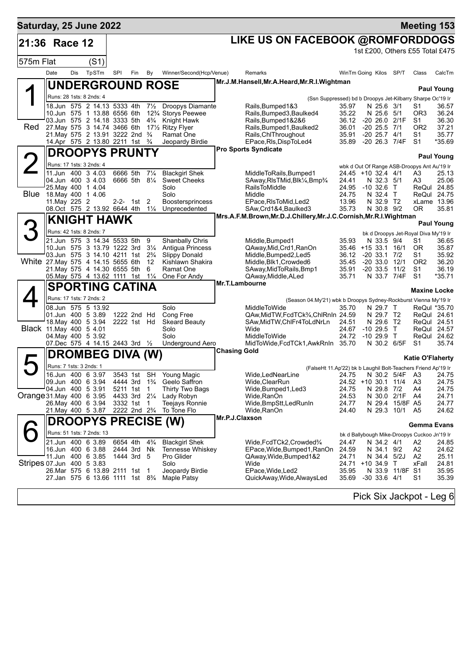| Saturday, 25 June 2022             |                                                                                          |     |       |                                                    |          |                |                                                                                   |                     |                                                                                                             |                              |                                         |                          |                                | <b>Meeting 153</b>                           |                            |
|------------------------------------|------------------------------------------------------------------------------------------|-----|-------|----------------------------------------------------|----------|----------------|-----------------------------------------------------------------------------------|---------------------|-------------------------------------------------------------------------------------------------------------|------------------------------|-----------------------------------------|--------------------------|--------------------------------|----------------------------------------------|----------------------------|
| 21:36 Race 12                      |                                                                                          |     |       |                                                    |          |                |                                                                                   |                     | LIKE US ON FACEBOOK @ROMFORDDOGS                                                                            |                              |                                         |                          |                                |                                              |                            |
|                                    |                                                                                          |     |       |                                                    |          |                |                                                                                   |                     |                                                                                                             |                              |                                         |                          |                                | 1st £200, Others £55 Total £475              |                            |
| 575m Flat                          |                                                                                          |     | (S1)  |                                                    |          |                |                                                                                   |                     |                                                                                                             |                              |                                         |                          |                                |                                              |                            |
|                                    | Date                                                                                     | Dis | TpSTm | SPI                                                | Fin      | By             | Winner/Second(Hcp/Venue)                                                          |                     | Remarks                                                                                                     | WinTm Going Kilos SP/T       |                                         |                          |                                | Class                                        | CalcTm                     |
|                                    |                                                                                          |     |       |                                                    |          |                | <b>UNDERGROUND ROSE</b>                                                           |                     | Mr.J.M.Hansell, Mr.A.Heard, Mr.R.I.Wightman                                                                 |                              |                                         |                          |                                |                                              | <b>Paul Young</b>          |
|                                    | Runs: 28 1sts: 8 2nds: 4                                                                 |     |       |                                                    |          |                |                                                                                   |                     | (Ssn Suppressed) bd b Droopys Jet-Kilbarry Sharpe Oc'19 Ir                                                  |                              |                                         |                          |                                |                                              |                            |
|                                    | 18.Jun 575 2 14.13 5333 4th<br>10.Jun 575 1 13.88 6556 6th                               |     |       |                                                    |          |                | 71/ <sub>2</sub> Droopys Diamante<br>12 <sup>3</sup> / <sub>4</sub> Storys Peewee |                     | Rails, Bumped 1&3<br>Rails, Bumped 3, Baulked 4                                                             | 35.97<br>35.22               |                                         | N 25.6 3/1<br>N 25.6 5/1 |                                | S1<br>OR3                                    | 36.57<br>36.24             |
|                                    | 03.Jun 575 2 14.18 3333 5th                                                              |     |       |                                                    |          |                | 4 <sup>3</sup> / <sub>4</sub> Knight Hawk                                         |                     | Rails, Bumped 1&2&6                                                                                         | 36.12                        |                                         |                          | $-20$ 26.0 $2/1F$              | S1                                           | 36.30                      |
| Red                                | 27. May 575 3 14.74 3466 6th<br>21. May 575 2 13.91 3222 2nd                             |     |       |                                                    |          | $\frac{3}{4}$  | 171/ <sub>2</sub> Ritzy Flyer<br>Ramat One                                        |                     | Rails, Bumped1, Baulked2<br>Rails, ChlThroughout                                                            | 36.01<br>35.91               | $-20$ 25.5 $7/1$<br>$-20$ 25.7 $4/1$    |                          |                                | OR <sub>2</sub><br>S1                        | 37.21<br>35.77             |
|                                    | 14.Apr 575 2 13.80 2211 1st 3/4                                                          |     |       |                                                    |          |                | Jeopardy Birdie                                                                   |                     | EPace, RIs, DispToLed4                                                                                      | 35.89                        |                                         |                          | -20 26.3 7/4F                  | S1                                           | *35.69                     |
|                                    | <b>DROOPYS PRUNTY</b>                                                                    |     |       |                                                    |          |                |                                                                                   |                     | <b>Pro Sports Syndicate</b>                                                                                 |                              |                                         |                          |                                |                                              | <b>Paul Young</b>          |
|                                    | Runs: 17 1sts: 3 2nds: 4                                                                 |     |       |                                                    |          |                |                                                                                   |                     |                                                                                                             |                              |                                         |                          |                                | wbk d Out Of Range ASB-Droopys Ant Au'19 Ir  |                            |
|                                    | 11.Jun 400 3 4.03<br>04.Jun 400 3 4.03                                                   |     |       | 6666 5th<br>6666 5th 81/4                          |          | $7\frac{1}{4}$ | <b>Blackgirl Shek</b><br><b>Sweet Cheeks</b>                                      |                     | MiddleToRails, Bumped1<br>SAway, RIsTMid, Blk <sup>1</sup> / <sub>4</sub> , Bmp <sup>3</sup> / <sub>4</sub> | 24.41                        | 24.45 +10 32.4 4/1                      | N 32.3 5/1               |                                | A3<br>A3                                     | 25.13<br>25.06             |
|                                    | 25 May 400 1 4.04                                                                        |     |       |                                                    |          |                | Solo                                                                              |                     | <b>RailsToMiddle</b>                                                                                        | 24.95                        | $-10$ 32.6 T                            |                          |                                |                                              | ReQul 24.85                |
| Blue                               | 18. May 400 1 4.06<br>11. May 225 2                                                      |     |       |                                                    | 2-2- 1st | 2              | Solo<br>Boostersprincess                                                          |                     | Middle<br>EPace, RIs To Mid, Led 2                                                                          | 24.75<br>13.96               |                                         | N 32.4 T<br>N 32.9 T2    |                                |                                              | ReQul 24.75<br>xLame 13.96 |
|                                    | 08.Oct 575 2 13.92 6644 4th 11/4                                                         |     |       |                                                    |          |                | Unprecedented                                                                     |                     | SAw, Crd1&4, Baulked 3                                                                                      | 35.73                        |                                         | N 30.8 9/2               |                                | 0R                                           | 35.81                      |
|                                    | <b>KNIGHT HAWK</b>                                                                       |     |       |                                                    |          |                |                                                                                   |                     | Mrs.A.F.M.Brown,Mr.D.J.Chillery,Mr.J.C.Cornish,Mr.R.I.Wightman                                              |                              |                                         |                          |                                |                                              | <b>Paul Young</b>          |
|                                    | Runs: 42 1sts: 8 2nds: 7                                                                 |     |       |                                                    |          |                |                                                                                   |                     |                                                                                                             |                              |                                         |                          |                                | bk d Droopys Jet-Royal Diva My'19 Ir         |                            |
|                                    | 21.Jun 575 3 14.34 5533 5th                                                              |     |       |                                                    |          | 9              | <b>Shanbally Chris</b>                                                            |                     | Middle, Bumped1                                                                                             | 35.93                        |                                         | N 33.5 9/4               |                                | S1                                           | 36.65                      |
|                                    | 10.Jun 575 3 13.79 1222 3rd<br>03.Jun 575 3 14.10 4211 1st 2 <sup>3</sup> / <sub>4</sub> |     |       |                                                    |          | $3\frac{1}{4}$ | Antigua Princess<br><b>Slippy Donald</b>                                          |                     | QAway, Mid, Crd1, RanOn<br>Middle, Bumped 2, Led 5                                                          | 36.12                        | 35.46 +15 33.1 16/1<br>$-20$ 33.1 $7/2$ |                          |                                | 0R<br>S1                                     | 35.87<br>35.92             |
| White 27. May 575 4 14.15 5655 6th | 21. May 575 4 14.30 6555 5th                                                             |     |       |                                                    |          | 12<br>6        | Kishlawn Shakira<br>Ramat One                                                     |                     | Middle, Blk1, Crowded6<br>SAway, MidToRails, Bmp1                                                           | 35.45<br>35.91               | $-20$ 33.0 12/1                         |                          | $-20$ 33.5 $11/2$              | OR <sub>2</sub><br>S1                        | 36.20<br>36.19             |
|                                    | 05. May 575 4 13.62 1111 1st 11/4                                                        |     |       |                                                    |          |                | One For Andy                                                                      |                     | QAway, Middle, ALed                                                                                         | 35.71                        |                                         |                          | N 33.7 7/4F                    | S1                                           | $*35.71$                   |
|                                    | <b>SPORTING CATINA</b>                                                                   |     |       |                                                    |          |                |                                                                                   | Mr.T.Lambourne      |                                                                                                             |                              |                                         |                          |                                | <b>Maxine Locke</b>                          |                            |
|                                    | Runs: 17 1sts: 7 2nds: 2                                                                 |     |       |                                                    |          |                |                                                                                   |                     | (Season 04.My'21) wbk b Droopys Sydney-Rockburst Vienna My'19 Ir                                            |                              |                                         |                          |                                |                                              |                            |
|                                    | 08.Jun 575 5 13.92                                                                       |     |       |                                                    |          |                | Solo                                                                              |                     | <b>MiddleToWide</b>                                                                                         | 35.70                        |                                         | N 29.7 T                 |                                |                                              | ReQul *35.70               |
|                                    | 01.Jun 400 5 3.89<br>18. May 400 5 3.94                                                  |     |       | 1222 2nd Hd<br>2222 1st Hd                         |          |                | Cong Free<br><b>Skeard Beauty</b>                                                 |                     | QAw, MidTW, FcdTCk3/4, ChlRnIn 24.59<br>SAw, MidTW, ChlFr4ToLdNrLn                                          | 24.51                        |                                         | N 29.7 T2<br>N 29.6 T2   |                                |                                              | ReQul 24.61<br>ReQul 24.51 |
| Black 11. May 400 5 4.01           |                                                                                          |     |       |                                                    |          |                | Solo<br>Solo                                                                      |                     | Wide<br><b>MiddleToWide</b>                                                                                 | 24.67<br>24.72               | $-1029.5$<br>$-1029.9$ T                |                          | $\top$                         |                                              | ReQul 24.57                |
|                                    | 04. May 400 5 3.92<br>07.Dec 575 4 14.15 2443 3rd 1/2                                    |     |       |                                                    |          |                | Underground Aero                                                                  |                     | MidToWide, FcdTCk1, AwkRnIn 35.70                                                                           |                              |                                         |                          | N 30.2 6/5F                    | S1                                           | ReQul 24.62<br>35.74       |
|                                    | <b>DROMBEG DIVA (W)</b>                                                                  |     |       |                                                    |          |                |                                                                                   | <b>Chasing Gold</b> |                                                                                                             |                              |                                         |                          |                                | <b>Katie O'Flaherty</b>                      |                            |
|                                    | Runs: 7 1sts: 3 2nds: 1                                                                  |     |       |                                                    |          |                |                                                                                   |                     | (FalseHt 11.Ap'22) bk b Laughil Bolt-Teachers Friend Ap'19 Ir                                               |                              |                                         |                          |                                |                                              |                            |
|                                    | 16.Jun 400 6 3.97                                                                        |     |       |                                                    |          |                | 3543 1st SH Young Magic                                                           |                     | Wide,LedNearLine                                                                                            |                              |                                         |                          |                                | 24.75 N 30.2 5/4F A3 24.75                   |                            |
|                                    | 09.Jun 400 6 3.94 4444 3rd 1 <sup>3</sup> / <sub>4</sub><br>04.Jun 400 5 3.91            |     |       | 5211 1st                                           |          | $\mathbf{1}$   | Geelo Saffron<br>Thirty Two Bags                                                  |                     | Wide, ClearRun<br>Wide, Bumped 1, Led 3                                                                     | 24.52 +10 30.1 11/4<br>24.75 |                                         | N 29.8 7/2               |                                | A3<br>A4                                     | 24.75<br>24.75             |
| Orange 31. May 400 6 3.95          |                                                                                          |     |       |                                                    |          |                | 4433 3rd 21/4 Lady Robyn                                                          |                     | Wide,RanOn                                                                                                  | 24.53                        |                                         |                          | N 30.0 2/1F A4                 |                                              | 24.71                      |
|                                    | 26. May 400 6 3.94<br>21. May 400 5 3.87                                                 |     |       | 3332 1st<br>2222 2nd 2 <sup>3</sup> / <sub>4</sub> |          | $\overline{1}$ | Teejays Ronnie<br>To Tone Flo                                                     |                     | Wide, BmpStt, Led Run In<br>Wide, RanOn                                                                     | 24.77<br>24.40               |                                         |                          | N 29.4 15/8F A5<br>N 29.3 10/1 | A5                                           | 24.77<br>24.62             |
|                                    |                                                                                          |     |       |                                                    |          |                | <b>DROOPYS PRECISE (W)</b>                                                        | Mr.P.J.Claxson      |                                                                                                             |                              |                                         |                          |                                | Gemma Evans                                  |                            |
|                                    | Runs: 51 1sts: 7 2nds: 13                                                                |     |       |                                                    |          |                |                                                                                   |                     |                                                                                                             |                              |                                         |                          |                                | bk d Ballybough Mike-Droopys Cuckoo Jn'19 Ir |                            |
|                                    | 21.Jun 400 6 3.89                                                                        |     |       | 6654 4th                                           |          | $4\frac{3}{4}$ | <b>Blackgirl Shek</b>                                                             |                     | Wide, FcdTCk2, Crowded%                                                                                     | 24.47                        |                                         | N 34.2 4/1               |                                | A2                                           | 24.85                      |
|                                    | 16.Jun 400 6 3.88<br>11.Jun 400 6 3.85                                                   |     |       | 2444 3rd Nk<br>1444 3rd 5                          |          |                | Tennesse Whiskey<br>Pro Glider                                                    |                     | EPace, Wide, Bumped 1, RanOn<br>QAway, Wide, Bumped 1&2                                                     | 24.59<br>24.71               |                                         | N 34.1 9/2               | N 34.4 5/2J                    | A2<br>A2                                     | 24.62<br>25.11             |
| Stripes 07.Jun 400 5 3.83          |                                                                                          |     |       |                                                    |          |                | Solo                                                                              |                     | Wide                                                                                                        | 24.71 +10 34.9 T             |                                         |                          |                                | xFall                                        | 24.81                      |
|                                    | 26. Mar 575 6 13.89 2111 1st<br>27.Jan 575 6 13.66 1111 1st 83/4                         |     |       |                                                    |          | - 1            | Jeopardy Birdie<br>Maple Patsy                                                    |                     | EPace, Wide, Led2<br>QuickAway, Wide, AlwaysLed                                                             | 35.95<br>35.69 -30 33.6 4/1  |                                         |                          | N 33.9 11/8F S1                | S1                                           | 35.95<br>35.39             |
|                                    |                                                                                          |     |       |                                                    |          |                |                                                                                   |                     |                                                                                                             |                              |                                         |                          |                                |                                              |                            |
|                                    |                                                                                          |     |       |                                                    |          |                |                                                                                   |                     |                                                                                                             |                              |                                         |                          |                                | Pick Six Jackpot - Leg 6                     |                            |